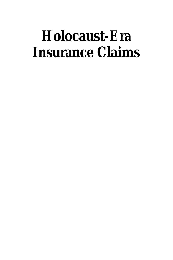# **Holocaust-Era Insurance Claims**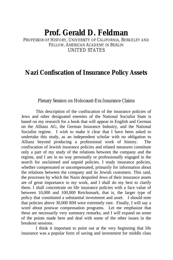# **Prof. Gerald D. Feldman**

PROFESSOR OF HISTORY, UNIVERSITY OF CALIFORNIA, BERKELEY AND FELLOW, AMERICAN ACADEMY IN BERLIN UNITED STATES

## **Nazi Confiscation of Insurance Policy Assets**

#### Plenary Session on Holocaust-Era Insurance Claims

This description of the confiscation of the insurance policies of Jews and other designated enemies of the National Socialist State is based on my research for a book that will appear in English and German on the Allianz AG, the German Insurance Industry, and the National Socialist regime. I wish to make it clear that I have been asked to undertake this study, as an independent scholar with no obligation to Allianz beyond producing a professional work of history. The confiscation of Jewish insurance policies and related measures constitute only a part of my study of the relations between the company and the regime, and I am in no way personally or professionally engaged in the search for unclaimed and unpaid policies. I study insurance policies, whether compensated or uncompensated, primarily for information about the relations between the company and its Jewish customers. This said, the processes by which the Nazis despoiled Jews of their insurance assets are of great importance to my work, and I shall do my best to clarify them. I shall concentrate on life insurance policies with a face value of between 10,000 and 100,000 Reichsmark, that is, the larger type of policy that constituted a substantial investment and asset. I should note that policies above 30,000 RM were extremely rare. Finally, I will say a word about postwar compensation programs. Let me emphasize that these are necessarily very summary remarks, and I will expand on some of the points made here and deal with some of the other issues in the breakout sessions.

I think it important to point out at the very beginning that life insurance was a popular form of saving and investment for middle class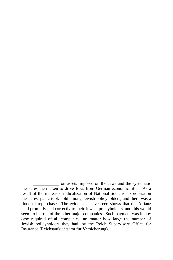<sup>)</sup> on assets imposed on the Jews and the systematic measures then taken to drive Jews from German economic life. As a result of the increased radicalization of National Socialist expropriation measures, panic took hold among Jewish policyholders, and there was a flood of repurchases. The evidence I have seen shows that the Allianz paid promptly and correctly to their Jewish policyholders, and this would seem to be true of the other major companies. Such payment was in any case required of all companies, no matter how large the number of Jewish policyholders they had, by the Reich Supervisory Office for Insurance (Reichsaufsichtsamt für Versicherung).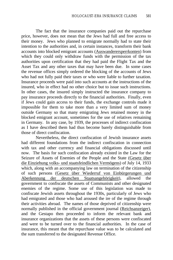The fact that the insurance companies paid out the repurchase price, however, does not mean that the Jews had full and free access to their money. Jews who planned to emigrate normally had to state their intention to the authorities and, in certain instances, transform their bank accounts into blocked emigrant accounts (Auswanderersperrkonten) from which they could only withdraw funds with the permission of the tax authorities upon certification that they had paid the Flight Tax and the Asset Tax and any other taxes that may have been due. In some cases the revenue offices simply ordered the blocking of the accounts of Jews who had not fully paid their taxes or who were liable to further taxation. Insurance proceeds were paid into such accounts at the instructions of the insured, who in effect had no other choice but to issue such instructions. In other cases, the insured simply instructed the insurance company to pay insurance proceeds directly to the financial authorities. Finally, even if Jews could gain access to their funds, the exchange controls made it impossible for them to take more than a very limited sum of money outside Germany so that many emigrating Jews retained money in the blocked emigrant account, sometimes for the use of relatives remaining in Germany. In any case, by 1939, the processes of indirect confiscation as I have described them had thus become barely distinguishable from those of direct confiscation.

Nevertheless, the direct confiscation of Jewish insurance assets had different foundations from the indirect confiscation in connection with tax and other currency and financial obligations discussed until now. The basis for such confiscation already existed in the Law for the Seizure of Assets of Enemies of the People and the State (Gesetz über die Einziehung volks- und staatsfeindlichen Vermögens) of July 14, 1933 which, along with an accompanying law on termination of the citizenship of such persons (Gesetz über Wiederruf von Einbürgerungen und Aberkennung der deutschen Staatsangehörigkeit), allowed the government to confiscate the assets of Communists and other designated enemies of the regime. Some use of this legislation was made to confiscate Jewish assets throughout the 1930s, particularly of Jews who had emigrated and those who had aroused the ire of the regime through their activities abroad. The names of those deprived of citizenship were normally published in the official government journal (Reichsanzeiger), and the Gestapo then proceeded to inform the relevant bank and insurance organizations that the assets of these persons were confiscated and were to be turned over to the financial authorities. In the case of insurance, this meant that the repurchase value was to be calculated and the sum transferred to the designated Revenue Office.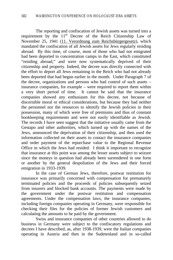The reporting and confiscation of Jewish assets was turned into a requirement by the  $11<sup>th</sup>$  Decree of the Reich Citizenship Law of November 25, 1941 (11. Verordnung zum Reichsbürgergesetz), which mandated the confiscation of all Jewish assets for Jews regularly residing abroad. By this time, of course, most of those who had not emigrated had been deported to concentration camps in the East, which constituted "residing abroad," and were now systematically deprived of their citizenship and property. Indeed, the decree was directly connected with the effort to deport all Jews remaining in the Reich who had not already been deported that had begun earlier in the month. Under Paragraph 7 of the decree, organizations and persons who had control of such assets – insurance companies, for example – were required to report them within a very short period of time. It cannot be said that the insurance companies showed any enthusiasm for this decree, not because of discernible moral or ethical considerations, but because they had neither the personnel nor the resources to identify the Jewish policies in their possession, many of which were free of premiums and thus of constant bookkeeping requirements and were not easily identifiable as Jewish. The records I have seen suggest that the initiative usually came from the Gestapo and other authorities, which turned up with the names of the Jews, announced the deprivation of their citizenship, and then used the information collected on their assets to contact the insurance companies and order payment of the repurchase value to the Regional Revenue Office in which the Jews had resided. I think it important to recognize that insurance at this point was among the lesser assets subject to seizure since the moneys in question had already been surrendered in one form or another by the general despoliation of the Jews and their forced emigration in 1933-1939.

In the case of German Jews, therefore, postwar restitution for insurance was primarily concerned with compensation for prematurely terminated policies and the proceeds of policies subsequently seized from insurers and blocked bank accounts. The payments were made by the government under the postwar restitution and compensation agreements. Under the compensation laws, the insurance companies, including foreign companies operating in Germany, were responsible for checking their files for the policies of former Jewish customers and calculating the amounts to be paid by the government.

Swiss and insurance companies of other countries allowed to do business in Germany were subject to the confiscatory regulations and decrees I have described, as, after 1938-1939, were the Italian companies operating in Austria and then in the Sudetenland and in so-called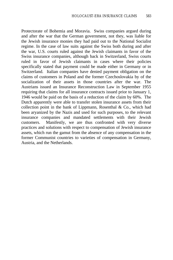Protectorate of Bohemia and Moravia. Swiss companies argued during and after the war that the German government, not they, was liable for the Jewish insurance monies they had paid out to the National Socialist regime. In the case of law suits against the Swiss both during and after the war, U.S. courts ruled against the Jewish claimants in favor of the Swiss insurance companies, although back in Switzerland, Swiss courts ruled in favor of Jewish claimants in cases where their policies specifically stated that payment could be made either in Germany or in Switzerland. Italian companies have denied payment obligation on the claims of customers in Poland and the former Czechoslovakia by of the socialization of their assets in those countries after the war. The Austrians issued an Insurance Reconstruction Law in September 1955 requiring that claims for all insurance contracts issued prior to January 1, 1946 would be paid on the basis of a reduction of the claim by 60%. The Dutch apparently were able to transfer stolen insurance assets from their collection point in the bank of Lippmann, Rosenthal  $\&$  Co., which had been aryanized by the Nazis and used for such purposes, to the relevant insurance companies and mandated settlements with their Jewish customers. Manifestly, we are thus confronted with very diverse practices and solutions with respect to compensation of Jewish insurance assets, which run the gamut from the absence of any compensation in the former Communist countries to varieties of compensation in Germany, Austria, and the Netherlands.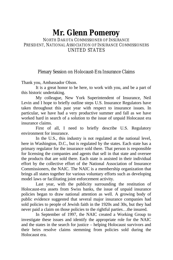# **Mr. Glenn Pomeroy**

### NORTH DAKOTA COMMISSIONER OF INSURANCE PRESIDENT, NATIONAL ASSOCIATION OF INSURANCE COMMISSIONERS UNITED STATES

### Plenary Session on Holocaust-Era Insurance Claims

Thank you, Ambassador Olson.

It is a great honor to be here, to work with you, and be a part of this historic undertaking.

My colleague, New York Superintendent of Insurance, Neil Levin and I hope to briefly outline steps U.S. Insurance Regulators have taken throughout this past year with respect to insurance issues. In particular, we have had a very productive summer and fall as we have worked hard in search of a solution to the issue of unpaid Holocaust era insurance claims.

First of all, I need to briefly describe U.S. Regulatory environment for insurance.

In the U.S., this industry is not regulated at the national level, here in Washington, D.C., but is regulated by the states. Each state has a primary regulator for the insurance sold there. That person is responsible for licensing the companies and agents that sell in that state and oversee the products that are sold there. Each state is assisted in their individual effort by the collective effort of the National Association of Insurance Commissioners, the NAIC. The NAIC is a membership organization that brings all states together for various voluntary efforts such as developing model laws or facilitating joint enforcement activity.

Last year, with the publicity surrounding the restitution of Holocaust-era assets from Swiss banks, the issue of unpaid insurance policies began to draw national attention as well. A growing body of public evidence suggested that several major insurance companies had sold policies to people of Jewish faith in the 1920s and 30s, but they had never paid a claim on those policies to the rightful parties…the insured.

In September of 1997, the NAIC created a Working Group to investigate these issues and identify the appropriate role for the NAIC and the states in the search for justice – helping Holocaust survivors and their heirs resolve claims stemming from policies sold during the Holocaust era.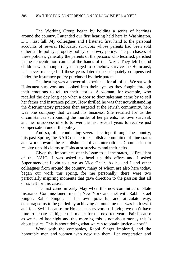The Working Group began by holding a series of hearings around the country. I attended our first hearing held here in Washington, D.C., last fall. My colleagues and I listened first hand to the personal accounts of several Holocaust survivors whose parents had been sold either a life policy, property policy, or dowry policy. The purchasers of these policies, generally the parents of the persons who testified, perished in the concentration camps at the hands of the Nazis. They left behind children who, though they managed to somehow survive the Holocaust, had never managed all these years later to be adequately compensated under the insurance policy purchased by their parents.

The hearing was a powerful experience for all of us. We sat with Holocaust survivors and looked into their eyes as they fought through their emotions to tell us their stories. A woman, for example, who recalled the day long ago when a door to door salesman came by to sell her father and insurance policy. How thrilled he was that notwithstanding the discriminatory practices then targeted at the Jewish community, here was one company that wanted his business. She recalled for us the circumstances surrounding the murder of her parents, her own survival, and her unsuccessful efforts over the last several years to receive just compensation under the policy.

And so, after conducting several hearings through the country, this past Spring, the NAIC decide to establish a committee of nine states and work toward the establishment of an International Commission to resolve unpaid claims to Holocaust survivors and their heirs.

Given the importance of this issue to all the states, as President of the NAIC, I was asked to head up this effort and I asked Superintendent Levin to serve as Vice Chair. As he and I and other colleagues from around the country, many of whom are also here today, began our work this spring, for me personally, there were two particularly inspiring moments that gave direction to the passion that all of us felt for this cause.

The first came in early May when this new committee of State Insurance Commissioners met in New York and met with Rabbi Israel Singer. Rabbi Singer, in his own powerful and articulate way, encouraged us to be guided by achieving an outcome that was both swift and fair. Swift because for Holocaust survivors still living we don't have time to debate or litigate this matter for the next ten years. Fair because as we heard last night and this morning this is not about money this is about justice. This is about doing what we can to obtain justice – now!!

Work with the companies, Rabbi Singer implored, and the honorable men and women who now run them. Let cooperation and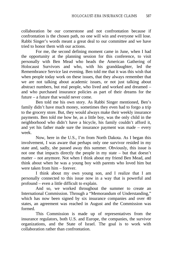collaboration be our cornerstone and not confrontation because if confrontation is the chosen path, no one will win and everyone will lose. Rabbi Singer's words meant a great deal to our committee and we have tried to honor them with our actions.

For me, the second defining moment came in June, when I had the opportunity at the planning session for this conference, to visit personally with Ben Mead who heads the American Gathering of Holocaust Survivors and who, with his granddaughter, led the Remembrance Service last evening. Ben told me that it was this wish that when people today work on these issues, that they always remember that we are not talking about academic issues, or not just talking about abstract numbers, but real people, who lived and worked and dreamed – and who purchased insurance policies as part of their dreams for the future – a future that would never come.

Ben told me his own story. As Rabbi Singer mentioned, Ben's family didn't have much money, sometimes they even had to forgo a trip to the grocery store. But, they would always make their weekly insurance payments. Ben told me how he, as a little boy, was the only child in the neighborhood who didn't have a bicycle, his family couldn't afford it, and yet his father made sure the insurance payment was made – every week.

Now, here in the U.S., I'm from North Dakota. As I began this involvement, I was aware that perhaps only one survivor resided in my state and, sadly, she passed away this summer. Obviously, this issue is not one that impacts directly the people in my state – but that doesn't matter – not anymore. Not when I think about my friend Ben Mead, and think about when he was a young boy with parents who loved him but were taken from him – forever.

I think about my own young son, and I realize that I am personally connected to this issue now in a way that is powerful and profound – even a little difficult to explain.

And so, we worked throughout the summer to create an International Commission. Through a "Memorandum of Understanding," which has now been signed by six insurance companies and over 40 states, an agreement was reached in August and the Commission was formed.

This Commission is made up of representatives from the insurance regulators, both U.S. and Europe, the companies, the survivor organizations, and the State of Israel. The goal is to work with collaboration rather than confrontation.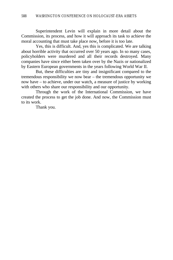Superintendent Levin will explain in more detail about the Commission, its process, and how it will approach its task to achieve the moral accounting that must take place now, before it is too late.

Yes, this is difficult. And, yes this is complicated. We are talking about horrible activity that occurred over 50 years ago. In so many cases, policyholders were murdered and all their records destroyed. Many companies have since either been taken over by the Nazis or nationalized by Eastern European governments in the years following World War II.

But, these difficulties are tiny and insignificant compared to the tremendous responsibility we now bear – the tremendous opportunity we now have – to achieve, under our watch, a measure of justice by working with others who share our responsibility and our opportunity.

Through the work of the International Commission, we have created the process to get the job done. And now, the Commission must to its work.

Thank you.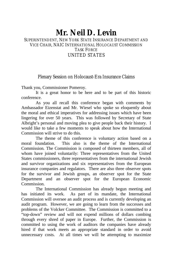### **Mr. Neil D. Levin** SUPERINTENDENT, NEW YORK STATE INSURANCE DEPARTMENT AND VICE CHAIR, NAIC INTERNATIONAL HOLOCAUST COMMISSION TASK FORCE UNITED STATES

### Plenary Session on Holocaust-Era Insurance Claims

Thank you, Commissioner Pomeroy.

It is a great honor to be here and to be part of this historic conference.

As you all recall this conference began with comments by Ambassador Eizenstat and Mr. Wiesel who spoke so eloquently about the moral and ethical imperatives for addressing issues which have been lingering for over 50 years. This was followed by Secretary of State Albright's personal and moving plea to give people back their history. I would like to take a few moments to speak about how the International Commission will strive to do this.

The theme of this conference is voluntary action based on a moral foundation. This also is the theme of the International Commission. The Commission is composed of thirteen members, all of whom have joined voluntarily: Three representatives from the United States commissioners, three representatives from the international Jewish and survivor organizations and six representatives from the European insurance companies and regulators. There are also three observer spots for the survivor and Jewish groups, an observer spot for the State Department and an observer spot for the European Economic Commission.

The International Commission has already begun meeting and has initiated its work. As part of its mandate, the International Commission will oversee an audit process and is currently developing an audit program. However, we are going to learn from the successes and problems of the Volcker Committee. The Commission is committed to a "top-down" review and will not expend millions of dollars combing through every shred of paper in Europe. Further, the Commission is committed to using the work of auditors the companies have already hired if that work meets an appropriate standard in order to avoid unnecessary costs. At all times we will be attempting to maximize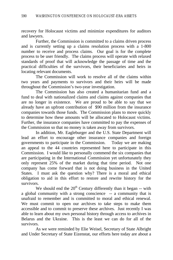recovery for Holocaust victims and minimize expenditures for auditors and lawyers.

Further, the Commission is committed to a claims driven process and is currently setting up a claims resolution process with a 1-800 number to receive and process claims. Our goal is for the complete process to be user friendly. The claims process will operate with relaxed standards of proof that will acknowledge the passage of time and the practical difficulties of the survivors, their beneficiaries and heirs in locating relevant documents.

The Commission will work to resolve all of the claims within two years and payments to survivors and their heirs will be made throughout the Commission's two-year investigation.

The Commission has also created a humanitarian fund and a fund to deal with nationalized claims and claims against companies that are no longer in existence. We are proud to be able to say that we already have an upfront contribution of \$90 million from the insurance companies towards those funds. The Commission plans to move quickly to determine how these amounts will be allocated to Holocaust victims. Further, the insurance companies have committed to pay the expenses of the Commission so that no money is taken away from survivors.

In addition, Mr. Eagleburger and the U.S. State Department will lead an effort to encourage other insurance companies and foreign governments to participate in the Commission. Today we are making an appeal to the 44 countries represented here to participate in this Commission. I would like to personally commend the six companies that are participating in the International Commission yet unfortunately they only represent 25% of the market during that time period. Not one company has come forward that is not doing business in the United States. I must ask the question why? There is a moral and ethical obligation to aid in this effort to restore and rewrite history for the survivors.

We should end the  $20<sup>th</sup>$  Century differently than it began -- with a global community with a strong conscience -- a community that is unafraid to remember and is committed to moral and ethical renewal. We must commit to open our archives to take steps to make them accessible and to commit to preserve these archives. Just recently I was able to learn about my own personal history through access to archives in Belarus and the Ukraine. This is the least we can do for all of the survivors.

As we were reminded by Elie Weisel, Secretary of State Albright and Under Secretary of State Eizenstat, our efforts here today are about a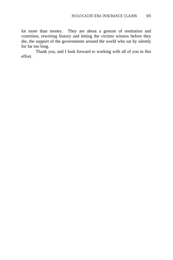lot more than money. They are about a gesture of restitution and contrition, rewriting history and letting the victims witness before they die, the support of the governments around the world who sat by silently for far too long.

Thank you, and I look forward to working with all of you in this effort.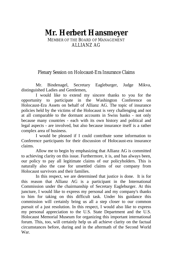# **Mr. Herbert Hansmeyer**

MEMBER OF THE BOARD OF MANAGEMENT ALLIANZ AG

Plenary Session on Holocaust-Era Insurance Claims

Mr. Bindenagel, Secretary Eagleburger, Judge Mikva, distinguished Ladies and Gentlemen,

I would like to extend my sincere thanks to you for the opportunity to participate in the Washington Conference on Holocaust-Era Assets on behalf of Allianz AG. The topic of insurance policies held by the victims of the Holocaust is very challenging and not at all comparable to the dormant accounts in Swiss banks - not only because many countries - each with its own history and political and legal aspects - are involved, but also because insurance itself is a rather complex area of business.

I would be pleased if I could contribute some information to Conference participants for their discussion of Holocaust-era insurance claims.

Allow me to begin by emphasizing that Allianz AG is committed to achieving clarity on this issue. Furthermore, it is, and has always been, our policy to pay all legitimate claims of our policyholders. This is naturally also the case for unsettled claims of our company from Holocaust survivors and their families.

In this respect, we are determined that justice is done. It is for this reason that Allianz AG is a participant in the International Commission under the chairmanship of Secretary Eagleburger. At this juncture, I would like to express my personal and my company's thanks to him for taking on this difficult task. Under his guidance this commission will certainly bring us all a step closer to our common pursuit of a just resolution. In this respect, I would also like to express my personal appreciation to the U.S. State Department and the U.S. Holocaust Memorial Museum for organizing this important international forum. This, too, will certainly help us all achieve clarity on the factual circumstances before, during and in the aftermath of the Second World War.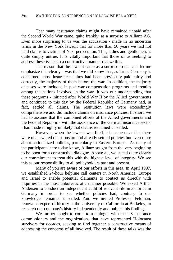That many insurance claims might have remained unpaid after the Second World War came, quite frankly, as a surprise to Allianz AG. Even more surprising to us was the accusation - made in no uncertain terms in the New York lawsuit that for more than 50 years we had not paid claims to victims of Nazi persecution. This, ladies and gentlemen, is quite simply untrue. It is vitally important that those of us seeking to address these issues in a constructive manner realize this.

The reason that the lawsuit came as a surprise to us - and let me emphasize this clearly - was that we did know that, as far as Germany is concerned, most insurance claims had been previously paid fairly and correctly, the majority of them before the war. In addition, the majority of cases were included in post-war compensation programs and treaties among the nations involved in the war. It was our understanding that these programs - initiated after World War II by the Allied governments and continued to this day by the Federal Republic of Germany had, in fact, settled all claims. The restitution laws were exceedingly comprehensive and did include claims on insurance policies. In short, we had to assume that the combined efforts of the Allied governments and the Federal Republic - with the assistance of the German insurance sector - had made it highly unlikely that claims remained unsettled.

However, when the lawsuit was filed, it became clear that there were unanswered questions around already settled policies but even more about nationalized policies, particularly in Eastern Europe. As many of the participants here today know, Allianz sought from the very beginning to be open for a constructive dialogue. Above all, we stated quite clearly our commitment to treat this with the highest level of integrity. We see this as our responsibility to all policyholders past and present.

Many of you are aware of our efforts in this area. In April 1997, we established 24-hour helpline call centers in North America, Europe and Israel to enable potential claimants to contact us directly with inquiries in the most unbureaucratic manner possible. We asked Arthur Andersen to conduct an independent audit of relevant file inventories in Germany in order to see whether policies had, contrary to our knowledge, remained unsettled. And we invited Professor Feldman, renowned expert of history at the University of California at Berkeley, to research our company's history independently and publish his findings.

We further sought to come to a dialogue with the US insurance commissioners and the organizations that have represented Holocaust survivors for decades, seeking to find together a constructive means of addressing the concerns of all involved. The result of these talks was the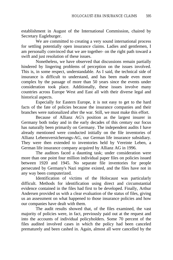establishment in August of the International Commission, chaired by Secretary Eagleburger.

We are committed to creating a very sound international process for settling potentially open insurance claims. Ladies and gentlemen, I am personally convinced that we are together- on the right path toward a swift and just resolution of these issues.

Nonetheless, we have observed that discussions remain partially hindered by lingering problems of perception on the issues involved. This is, in some respect, understandable. As I said, the technical side of insurance is difficult to understand, and has been made even more complex by the passage of more than 50 years since the events under consideration took place. Additionally, these issues involve many countries across Europe West and East all with their diverse legal and historical aspects.

Especially for Eastern Europe, it is not easy to get to the hard facts of the fate of policies because the insurance companies and their branches were nationalized after the war. Still, we must make this effort.

Because of Allianz AG's position as the largest insurer in Germany both today and in the early decades of this century our focus has naturally been primarily on Germany. The independent audits I have already mentioned were conducted initially on the file inventories of Allianz Lebensversicherungs-AG, our German life insurance subsidiary. They were then extended to inventories held by Vereinte Leben, a German life insurance company acquired by Allianz AG in 1996.

The auditors faced a daunting task; under consideration were more than one point four million individual paper files on policies issued between 1920 and 1945. No separate file inventories for people persecuted by Germany's Nazi regime existed, and the files have not in any way been computerized.

Identification of victims of the Holocaust was particularly difficult. Methods for identification using direct and circumstantial evidence contained in the files had first to be developed. Finally, Arthur Andersen provided us with a clear evaluation of the status of files, giving us an assessment on what happened to those insurance policies and how our companies have dealt with them.

The audit results showed that, of the files examined, the vast majority of policies were, in fact, previously paid out at the request and into the accounts of individual policyholders. Some 70 percent of the files audited involved cases in which the policy had been canceled prematurely and been cashed in. Again, almost all were cancelled by the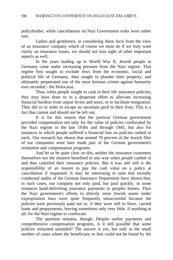policyholder, while cancellations on Nazi Government order were rather rare.

Ladies and gentlemen, in considering these facts from the view of an insurance company which of course we must do if we truly want clarity on insurance issues, we should not lose sight of other important aspects as well.

In the years leading up to World War II, Jewish people in Germany came under increasing pressure from the Nazi regime. That regime first sought to exclude Jews from the economic, social and political life of Germany, then sought to plunder their property, and ultimately perpetrated one of the most heinous crimes against humanity ever recorded - the Holocaust.

Thus, when people sought to cash in their life insurance policies, they may have done so in a desperate effort to alleviate increasing financial burdens from unjust levies and taxes, or to facilitate emigration. They did so in order to escape no uncertain peril to their lives. This is a fact that cannot and should not be left out.

It is for this reason that the postwar German government provided compensation not only for the value of policies confiscated by the Nazi regime in the late 1930s and through 1945, but also for instances in which people suffered a financial loss on policies cashed in early. Our research has shown that around 70 percent of the Jewish files of our companies were later made part of the German government's restitution and compensation programs.

And let us be quite clear on this, neither the insurance customers themselves nor the insurers benefited in any way when people cashed in and thus canceled their insurance policies. But it was and still is the responsibility of an insurer to pay the cash value on a policy at cancellation if requested. It may be interesting to note that recently conducted audits of the German Insurance Department have shown that, in such cases, our company not only paid, but paid quickly, in some instances hand-delivering insurance payments to peoples homes. Thus the Nazi government's efforts to directly seize Jewish assets under expropriation laws were quite frequently unsuccessful because the policies were previously paid out or, if they were still in force, carried loans and prepayments, leaving sometimes only very little, if anything at all, for the Nazi regime to confiscate.

The question remains, though: Despite earlier payments and comprehensive compensation programs, is it still possible that some policies remained unsettled? The answer is yes, but only in the small number of cases where the beneficiary or heir could not be found by the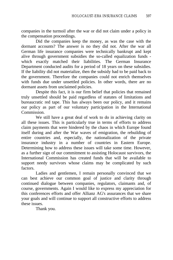companies in the turmoil after the war or did not claim under a policy in the compensation proceedings.

Did the companies keep the money, as was the case with the dormant accounts? The answer is no they did not. After the war all German life insurance companies were technically bankrupt and kept alive through government subsidies the so-called equalization funds which exactly matched their liabilities. The German Insurance Department conducted audits for a period of 18 years on these subsidies. If the liability did not materialize, then the subsidy had to be paid back to the government. Therefore the companies could not enrich themselves with funds due under unsettled policies. In other words, there are no dormant assets from unclaimed policies.

Despite this fact, it is our firm belief that policies that remained truly unsettled should be paid regardless of statutes of limitations and bureaucratic red tape. This has always been our policy, and it remains our policy as part of our voluntary participation in the International Commission.

We still have a great deal of work to do in achieving clarity on all these issues. This is particularly true in terms of efforts to address claim payments that were hindered by the chaos in which Europe found itself during and after the War waves of emigration, the rebuilding of entire countries and, especially, the nationalization of the private insurance industry in a number of countries in Eastern Europe. Determining how to address these issues will take some time. However, as a further sign of our commitment to assisting Holocaust survivors, the International Commission has created funds that will be available to support needy survivors whose claims may be complicated by such factors.

Ladies and gentlemen, I remain personally convinced that we can best achieve our common goal of justice and clarity through continued dialogue between companies, regulators, claimants and, of course, governments. Again I would like to express my appreciation for this conferences efforts and offer Allianz AG's assurances that we share your goals and will continue to support all constructive efforts to address these issues.

Thank you.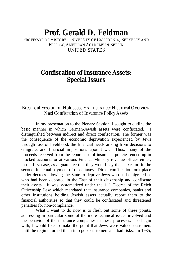# **Prof. Gerald D. Feldman**

PROFESSOR OF HISTORY, UNIVERSITY OF CALIFORNIA, BERKELEY AND FELLOW, AMERICAN ACADEMY IN BERLIN UNITED STATES

# **Confiscation of Insurance Assets: Special Issues**

### Break-out Session on Holocaust-Era Insurance: Historical Overview, Nazi Confiscation of Insurance Policy Assets

In my presentation to the Plenary Session, I sought to outline the basic manner in which German-Jewish assets were confiscated. distinguished between indirect and direct confiscation. The former was the consequence of the economic deprivation experienced by Jews through loss of livelihood, the financial needs arising from decisions to emigrate, and financial impositions upon Jews. Thus, many of the proceeds received from the repurchase of insurance policies ended up in blocked accounts or at various Finance Ministry revenue offices either, in the first case, as a guarantee that they would pay their taxes or, in the second, in actual payment of those taxes. Direct confiscation took place under decrees allowing the State to deprive Jews who had emigrated or who had been deported in the East of their citizenship and confiscate their assets. It was systematized under the  $11<sup>th</sup>$  Decree of the Reich Citizenship Law which mandated that insurance companies, banks and other institutions holding Jewish assets actually report them to the financial authorities so that they could be confiscated and threatened penalties for non-compliance.

What I want to do now is to flesh out some of these points, addressing in particular some of the more technical issues involved and the behavior of the insurance companies in these processes. To begin with, I would like to make the point that Jews were valued customers until the regime turned them into poor customers and bad risks. In 1935,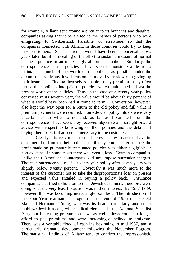for example, Allianz sent around a circular to its branches and daughter companies asking that it be alerted to the names of persons who were emigrating, to Switzerland, Palestine, or elsewhere, so that the companies connected with Allianz in those countries could try to keep these customers. Such a circular would have been inconceivable two years later, but it is revealing of the effort to sustain a measure of normal business practice in an increasingly abnormal situation. Similarly, the correspondence in the policies I have seen demonstrate a desire to maintain as much of the worth of the policies as possible under the circumstances. Many Jewish customers moved very slowly in giving up their insurance. Finding themselves unable to pay premiums, they often turned their policies into paid-up policies, which maintained at least the present worth of the policies. Thus, in the case of a twenty-year policy converted in its seventh year, the value would be about thirty percent of what it would have been had it come to term. Conversion, however, also kept the way open for a return to the old policy and full value if premium payments were resumed. Some Jewish policyholders were very uncertain as to what to do and, as far as I can tell from the correspondence I have seen, they received objective and straightforward advice with respect to borrowing on their policies and the details of buying them back if that seemed necessary to the customer.

Clearly it is very much to the interest of any insurer to have its customers hold on to their policies until they come to term since the profit made on prematurely terminated policies was either negligible or non-existent. In some cases there was even a loss. German companies, unlike their American counterparts, did not impose surrender charges. The cash surrender value of a twenty-year policy after seven years was slightly below twenty percent. Obviously it was much more to the interest of the customer not to take the disproportionate loss on present and expected value entailed in buying a policy back. Insurance companies that tried to hold on to their Jewish customers, therefore, were doing so at the very least because it was in their interest. By 1937-1939, however, this was becoming increasingly pointless. The introduction of the Four-Year rearmament program at the end of 1936 made Field Marshall Hermann Göring, who was its head, particularly anxious to mobilize Jewish assets, while radical elements in the National Socialist Party put increasing pressure on Jews as well. Jews could no longer afford to pay premiums and were increasingly inclined to emigrate. There was a veritable flood of cash-ins beginning in mid-1937, and a particularly dramatic development following the November Pogrom. The statistical findings of Allianz tend to confirm the impressionistic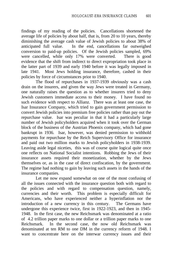findings of my reading of the policies. Cancellations shortened the average life of policies by about half, that is, from 20 to 10 years, thereby diminishing the average cash value of Jewish policies to about 38% of anticipated full value. In the end, cancellations far outweighed conversion to paid-up policies. Of the Jewish policies sampled, 69% were cancelled, while only 17% were converted. There is good evidence that the shift from indirect to direct expropriation took place in the latter part of 1939 and early 1940 before it was legally imposed in late 1941. Most Jews holding insurance, therefore, cashed in their policies by force of circumstances prior to 1940.

The flood of repurchases in 1937-1939 obviously was a cash drain on the insurers, and given the way Jews were treated in Germany, one naturally raises the question as to whether insurers tried to deny Jewish customers immediate access to their money. I have found no such evidence with respect to Allianz. There was at least one case, the Isar Insurance Company, which tried to gain government permission to convert Jewish policies into premium free policies rather than pay out the repurchase value. Isar was peculiar in that it had a particularly large number of Jewish policyholders acquired when it took over the German block of the business of the Austrian Phoenix company, which had gone bankrupt in 1936. Isar, however, was denied permission to withhold payments for repurchase by the Reich Supervisory Office for insurance and paid out two million marks to Jewish policyholders in 1938-1939. Leaving aside legal niceties, this was of course quite logical quite once one reflects on National Socialist intentions. Robbing the Jews of their insurance assets required their monetization, whether by the Jews themselves or, as in the case of direct confiscation, by the government. The regime had nothing to gain by leaving such assets in the hands of the insurance companies.

Let me now expand somewhat on one of the most confusing of all the issues connected with the insurance question both with regard to the policies and with regard to compensation question, namely, currencies and their worth. This problem is especially difficult for Americans, who have experienced neither a hyperinflation nor the introduction of a new currency in this century. The Germans have undergone this experience twice, first in 1922-1923, and then in 1945- 1948. In the first case, the new Reichsmark was denominated at a ratio of 4.2 trillion paper marks to one dollar or a trillion paper marks to one Reichsmark. In the second case, the now old Reichsmark was denominated at ten RM to one DM in the currency reform of 1948. I want to concentrate here on the interwar currency issues and their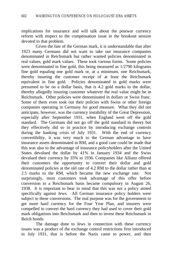implications for insurance and will talk about the postwar currency reform with respect to the compensation issue in the breakout session devoted to that problem.

Given the fate of the German mark, it is understandable that after 1923 many Germans did not want to take out insurance companies denominated in Reichsmark but rather wanted policies denominated in real values, gold mark values. These took various forms. Some policies were denominated in fine gold, this being measured as 1/2790 kilograms fine gold equaling one gold mark or, at a minimum, one Reichsmark, thereby insuring the customer receipt of at least the Reichsmark equivalent in fine gold. Policies denominated in gold marks were presumed to be on a dollar basis, that is 4.2 gold marks to the dollar, thereby allegedly insuring customer whatever the real value might be in Reichsmark. Other policies were denominated in dollars or Swiss franc. Some of them even took out their policies with Swiss or other foreign companies operating in Germany for good measure. What they did not anticipate, however, was the currency instability of the Great Depression, especially after September 1931, when England went off the gold standard. The Germans did not go off the gold standard in theory but they effectively did so in practice by introducing exchange controls during the banking crisis of July 1931. With the end of currency convertibility, it was very much to the German advantage to have insurance assets denominated in RM, and a good case could be made that this was also to the advantage of insurance policyholders after the United States devalued the dollar by 41% in January 1934 and the Swiss devalued their currency by 35% in 1936. Companies like Allianz offered their customers the opportunity to convert their dollar and gold denominated policies at the old rate of 4.2 RM to the dollar rather than at 2.5 marks to the RM, which became the new exchange rate. Not surprisingly, most customers took advantage of this offer before conversion to a Reichsmark basis became compulsory in August 26, 1938. It is important to bear in mind that this was not a policy aimed specifically against Jews. All German insurance policy holders were subject to these conversions. The real purpose was for the government to get more hard currency for the Four Year Plan, and insurers were compelled to convert the hard currency they had used to cover their gold mark obligations into Reichsmark and then to invest these Reichsmark in Reich bonds.

The damage done to Jews in connection with these currency issues was a product of the exchange control restrictions first introduced in July 1931, that is before the Nazis came to power, and then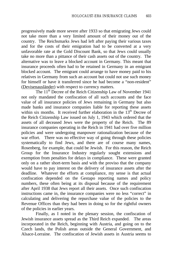progressively made more severe after 1933 so that emigrating Jews could not take more than a very limited amount of their money out of the country. The Reichsmarks Jews had left after paying their various taxes and for the costs of their emigration had to be converted at a very unfavorable rate at the Gold Discount Bank, so that Jews could usually take no more than a pittance of their cash assets out of the country. The alternative was to leave a blocked account in Germany. This meant that insurance proceeds often had to be retained in Germany in an emigrant blocked account. The emigrant could arrange to have money paid to his relatives in Germany from such an account but could not use such money for himself or have it transferred since he had become a "non-resident" (Devisenausländer) with respect to currency matters.

The 11<sup>th</sup> Decree of the Reich Citizenship Law of November 1941 not only mandated the confiscation of all such accounts and the face value of all insurance policies of Jews remaining in Germany but also made banks and insurance companies liable for reporting these assets within six months. It received further elaboration in the  $13<sup>th</sup>$  Decree of the Reich Citizenship Law issued on July 1, 1943 which ordered that the assets of all deceased Jews were the property of the Reich. The 89 insurance companies operating in the Reich in 1941 had over five million policies and were undergoing manpower rationalization because of the war effort. There was no effective way of going through these policies systematically to find Jews, and there are of course many names, Rosenberg, for example, that could be Jewish. For this reason, the Reich Group for the Insurance Industry regularly sought extensions and exemption from penalties for delays in compliance. These were granted only on a rather short-term basis and with the proviso that the company would have to pay interest on the delivery of insurance assets after the deadline. Whatever the efforts at compliance, my sense is that actual confiscation depended on the Gestapo reporting names and policy numbers, these often being at its disposal because of the requirement after April 1938 that Jews report all their assets. Once such confiscation instructions came in, the insurance companies were no less "correct" in calculating and delivering the repurchase value of the policies to the Revenue Offices than they had been in doing so for the rightful owners of the policies in earlier years.

Finally, as I noted in the plenary session, the confiscation of Jewish insurance assets spread as the Third Reich expanded. The areas incorporated in the Reich, beginning with Austria, and going on to the Czech lands, the Polish areas outside the General Government, and Alsace-Lorraine. The confiscation of Jewish assets in Austria seems to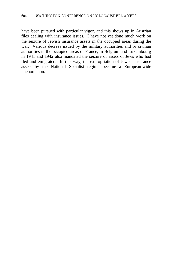have been pursued with particular vigor, and this shows up in Austrian files dealing with insurance issues. I have not yet done much work on the seizure of Jewish insurance assets in the occupied areas during the war. Various decrees issued by the military authorities and or civilian authorities in the occupied areas of France, in Belgium and Luxembourg in 1941 and 1942 also mandated the seizure of assets of Jews who had fled and emigrated. In this way, the expropriation of Jewish insurance assets by the National Socialist regime became a European-wide phenomenon.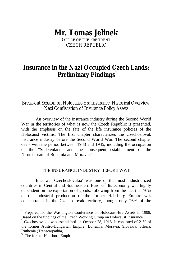# **Mr. Tomas Jelinek**

OFFICE OF THE PRESIDENT CZECH REPUBLIC

# **Insurance in the Nazi Occupied Czech Lands: Preliminary Findings<sup>1</sup>**

Break-out Session on Holocaust-Era Insurance: Historical Overview, Nazi Confiscation of Insurance Policy Assets

An overview of the insurance industry during the Second World War in the territories of what is now the Czech Republic is presented, with the emphasis on the fate of the life insurance policies of the Holocaust victims. The first chapter characterizes the Czechoslovak insurance industry before the Second World War. The second chapter deals with the period between 1938 and 1945, including the occupation of the "Sudetenland" and the consequent establishment of the "Protectorate of Bohemia and Moravia."

#### THE INSURANCE INDUSTRY BEFORE WWII

Inter-war Czechoslovakia<sup>2</sup> was one of the most industrialized countries in Central and Southeastern Europe.<sup>3</sup> Its economy was highly dependent on the exportation of goods, following from the fact that 70% of the industrial production of the former Habsburg Empire was concentrated in the Czechoslovak territory, though only 26% of the

 $\overline{a}$ 

<sup>&</sup>lt;sup>1</sup> Prepared for the Washington Conference on Holocaust-Era Assets in 1998. Based on the findings of the Czech Working Group on Holocaust Insurance.

<sup>&</sup>lt;sup>2</sup> Czechoslovakia was established on October 28, 1918. It consisted of 21% of the former Austro-Hungarian Empire: Bohemia, Moravia, Slovakia, Silesia, Ruthenia (Transcarpathia).

<sup>&</sup>lt;sup>3</sup> The former Hapsburg Empire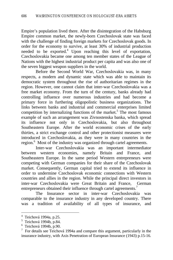Empire's population lived there. After the disintegration of the Habsburg Empire common market, the newly-born Czechoslovak state was faced with the challenge of finding foreign markets for Czechoslovak goods. In order for the economy to survive, at least 30% of industrial production needed to be exported.<sup>4</sup> Upon reaching this level of exportation, Czechoslovakia became one among ten member states of the League of Nations with the highest industrial product per capita and was also one of the seven biggest weapon suppliers in the world.

Before the Second World War, Czechoslovakia was, in many respects, a modern and dynamic state which was able to maintain its democratic system throughout the rise of authoritarian regimes in the region. However, one cannot claim that inter-war Czechoslovakia was a free market economy. From the turn of the century, banks already had controlling influence over numerous industries and had become a primary force in furthering oligopolistic business organizations. The links between banks and industrial and commercial enterprises limited competition by internalizing functions of the market.<sup>5</sup> The most famous example of such an arrangement was Zivnostenska banka, which spread its influence not only in Czechoslovakia, but also throughout Southeastern Europe. After the world economic crises of the early thirties, a strict exchange control and other protectionist measures were introduced in Czechoslovakia, as they were in many countries in the region.<sup>6</sup> Most of the industry was organized through cartel agreements.

Inter-war Czechoslovakia was an important intermediator between western economies, namely Britain and France, and Southeastern Europe. In the same period Western entrepreneurs were competing with German companies for their share of the Czechoslovak market. Consequently, German capital tried to extend its influence in order to undermine Czechoslovak economic connections with Western countries and allies in the region. While the principal direct investors in inter-war Czechoslovakia were Great Britain and France, German entrepreneurs obtained their influence through cartel agreements.<sup>7</sup>

The Insurance sector in inter-war Czechoslovakia was comparable to the insurance industry in any developed country. There was a tradition of availability of all types of insurance, and

 4 Teichová 1994a, p.25.

<sup>&</sup>lt;sup>5</sup> Teichová 1994b, p.84.

 $6$  Teichová 1994b, p.90.

<sup>7</sup> For details see Teichová 1994a and compare this argument, particularly in the insurance industry, with Axis Penetration of European Insurance (1943) p.15-16.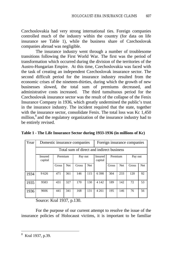Czechoslovakia had very strong international ties. Foreign companies controlled much of the industry within the country (for data on life insurance see Table 1), while the business share of Czechoslovak companies abroad was negligible.

The insurance industry went through a number of troublesome transitions following the First World War. The first was the period of transformation which occurred during the division of the territories of the Austro-Hungarian Empire. At this time, Czechoslovakia was faced with the task of creating an independent Czechoslovak insurance sector. The second difficult period for the insurance industry resulted from the economic crises of the nineteen-thirties, during which the growth of new businesses slowed, the total sum of premiums decreased, and administrative costs increased. The third tumultuous period for the Czechoslovak insurance sector was the result of the collapse of the Fenix Insurance Company in 1936, which greatly undermined the public's trust in the insurance industry. The incident required that the state, together with the insurance sector, consolidate Fenix. The total loss was Kc 1.450 million,<sup>8</sup> and the regulatory organization of the insurance industry had to be entirely revised.

| Year | Domestic insurance companies              |         |            |         | Foreign insurance companies |                    |         |            |         |            |
|------|-------------------------------------------|---------|------------|---------|-----------------------------|--------------------|---------|------------|---------|------------|
|      | Total sum of direct and indirect business |         |            |         |                             |                    |         |            |         |            |
|      | <b>Insured</b><br>capital                 | Premium |            | Pay out |                             | Insured<br>capital | Premium |            | Pay out |            |
|      |                                           | Gross   | <b>Net</b> | Gross   | <b>Net</b>                  |                    | Gross   | <b>Net</b> | Gross   | <b>Net</b> |
| 1934 | 9626                                      | 471     | 361        | 146     | 115                         | 6398               | 304     | 233        | 120     | 92         |
| 1935 | 9583                                      | 431     | 327        | 170     | 130                         | 4 1 4 2            | 189     | 142        | 72      | 53         |
| 1936 | 9606                                      | 441     | 341        | 168     | 131                         | 4 2 6 1            | 195     | 146        | 76      | 56         |

**Table 1 - The Life Insurance Sector during 1933-1936 (in millions of Kc)**

Source: Kral 1937, p.130.

For the purpose of our current attempt to resolve the issue of the insurance policies of Holocaust victims, it is important to be familiar

 8 Kral 1937, p.39.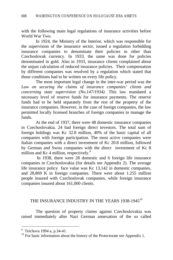with the following main legal regulations of insurance activities before World War Two.

In 1924, the Ministry of the Interior, which was responsible for the supervision of the insurance sector, issued a regulation forbidding insurance companies to denominate their policies in other than Czechoslovak currency. In 1933, the same was done for policies denominated in gold. Also in 1933, insurance clients complained about the unjust calculation of reduced insurance policies. Their compensation by different companies was resolved by a regulation which stated that those conditions had to be written on every life policy.

The most important legal change in the inter-war period was the *Law on securing the claims of insurance companies' clients and concerning state supervision (No.147/1934)*. This law mandated a necessary level of reserve funds for insurance payments. The reserve funds had to be held separately from the rest of the property of the insurance companies. However, in the case of foreign companies, the law permitted locally licensed branches of foreign companies to manage the funds.

At the end of 1937, there were 48 domestic insurance companies in Czechoslovakia. 24 had foreign direct investors. The total sum of foreign holdings was Kc 32.8 million, 40% of the basic capital of all companies with foreign participation. The most active companies were Italian companies with a direct investment of Kc 20.8 million, followed by German and Swiss companies with the direct investment of Kc 8 million and Kc 4 million, respectively.<sup>9</sup>

 In 1938, there were 28 domestic and 6 foreign life insurance companies in Czechoslovakia (for details see Appendix 2). The average life insurance policy face value was Kc 13,142 in domestic companies, and 28,869 K in foreign companies. There were about 1.255 million people insured with Czechoslovak companies, while foreign insurance companies insured about 161,000 clients.

#### THE INSURANCE INDUSTRY IN THE YEARS 1938-1945<sup>10</sup>

The question of property claims against Czechoslovakia was raised immediately after Nazi German annexation of the so called

<sup>&</sup>lt;sup>9</sup> Teichova 1994 a, p.34-41.

<sup>&</sup>lt;sup>10</sup> For basic information about the history of the Protectorate see Appendix 1.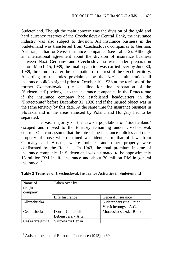Sudetenland. Though the main concern was the division of the gold and hard currency reserves of the Czechoslovak Central Bank, the insurance industry was also subject to division. All insurance business in the Sudetenland was transferred from Czechoslovak companies to German, Austrian, Italian or Swiss insurance companies (see Table 2). Although an international agreement about the division of insurance business between Nazi Germany and Czechoslovakia was under preparation before March 15, 1939, the final separation was carried over by June 30, 1939, three month after the occupation of the rest of the Czech territory. According to the rules proclaimed by the Nazi administration all insurance policies signed prior to October 10, 1938 at the territory of the former Czechoslovakia (i.e. deadline for final separation of the "Sudetenland") belonged to the insurance companies in the Protectorate if the insurance company had established headquarters in the "Protectorate" before December 31, 1938 and if the insured object was in the same territory by this date. At the same time the insurance business in Slovakia and in the areas annexed by Poland and Hungary had to be separated.

The vast majority of the Jewish population of "Sudetenland" escaped and moved to the territory remaining under Czechoslovak control. One can assume that the fate of the insurance policies and other property of those who remained was identical to that of Jews from Germany and Austria, where policies and other property were confiscated by the Reich. In 1943, the total premium income of insurance companies in Sudetenland was estimated to be approximately 13 million RM in life insurance and about 30 million RM in general insurance. $11$ 

| Name of<br>original<br>company | Taken over by      |                                               |
|--------------------------------|--------------------|-----------------------------------------------|
|                                | Life Insurance     | General Insurance                             |
| Albrechticka                   |                    | Sudetendeutsche Union<br>Versicherungs - A.G. |
| Cechoslovia                    | Donau-Concordia,   | Moravsko-slezska Brno                         |
|                                | Lebensvers. - A.G. |                                               |
| Ceska vzajemna                 | Victoria zu Berlin |                                               |

|  |  | Table 2 Transfer of Czechoslovak Insurance Activities in Sudetenland |  |
|--|--|----------------------------------------------------------------------|--|
|--|--|----------------------------------------------------------------------|--|

 $\overline{a}$ 

 $11$  Axis penetration of European Insurance (1943), p.30.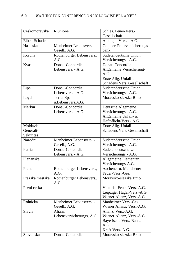| Ceskomoravska   | Riunione                  | Schles. Feuer-Vers.-        |
|-----------------|---------------------------|-----------------------------|
|                 |                           | Gesellschaft                |
| Elbe - Schaden  |                           | Albingia, Vers. - A.G.      |
| Hasicska        | Manheimer Lebensvers. -   | Gothaer Feuerversicherungs- |
|                 | Gesell., A.G.             | bank                        |
| Koruna          | Rothenburger Lebensvers., | Sudetendeutsche Union       |
|                 | A.G.                      | Versicherungs - A.G.        |
| Kvas            | Donau-Concordia,          | Donau-Concordia             |
|                 | Lebensvers. - A.G.        | Allgemeine Versicherung-    |
|                 |                           | A.G.                        |
|                 |                           | Erste Allg. Unfall-u.       |
|                 |                           | Schadens Vers. Gesellschaft |
| Lipa            | Donau-Concordia,          | Sudetendeutsche Union       |
|                 | Lebensvers. - A.G.        | Versicherungs - A.G.        |
| Loyd            | Terra, Spar-              | Moravsko-slezska Brno       |
|                 | u.Lebensvers.A.G.         |                             |
| Merkur          | Donau-Concordia,          | Deutsche Algemeine          |
|                 | Lebensvers. - A.G.        | Versicherungs - A.G.        |
|                 |                           | Allgemeine Unfall- u.       |
|                 |                           | Haftpflicht-Vers.- A.G.     |
| Moldavia-       |                           | Erste Allg. Unfall-u.       |
| Generali-       |                           | Schadens Vers. Gesellschaft |
| Sekuritas       |                           |                             |
| Narodni         | Manheimer Lebensvers. -   | Sudetendeutsche Union       |
|                 | Gesell., A.G.             | Versicherungs - A.G.        |
| Patria          | Donau-Concordia,          | Sudetendeutsche Union       |
|                 | Lebensvers. - A.G.        | Versicherungs - A.G.        |
| Plananska       |                           | Allgemeine Elementar        |
|                 |                           | Versicherungs-A.G.          |
| Praha           | Rothenburger Lebensvers., | Aachener u. Munchener       |
|                 | A.G.                      | Feuer-Vers.-Ges.            |
| Prazska mestska | Rothenburger Lebensvers., | Moravsko-slezska Brno       |
|                 | A.G.                      |                             |
| Prvni ceska     |                           | Victoria, Feuer-Vers.-A.G.  |
|                 |                           | Leipziger Hagel-Vers.-A.G.  |
|                 |                           | Wiener Alianz, Vers.-A.G.   |
| Rolnicka        | Manheimer Lebensvers. -   | Manheimer Vers.-Ges.        |
|                 | Gesell., A.G.             | Wiener Alianz, Vers.-A.G.   |
| Slavia          | Alianz                    | Alianz, Vers.-A.G.          |
|                 | Lebensversicherungs, A.G. | Wiener Alianz, Vers.-A.G.   |
|                 |                           | Bayerische Vers.-Bank,      |
|                 |                           | A.G.                        |
|                 |                           | Kraft-Vers.-A.G.            |
| Slovanska       | Donau-Concordia,          | Moravsko-slezska Brno       |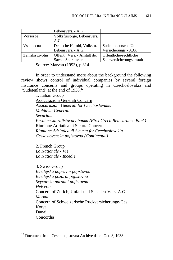|                | Lebensvers. - A.G.           |                          |
|----------------|------------------------------|--------------------------|
| Vorsorge       | Volksfursorge, Lebensvers.   |                          |
|                | A.G.                         |                          |
| Vseobecna      | Deutsche Herold, Volks-u.    | Sudetendeutsche Union    |
|                | Lebensvers. - A.G.           | Versicherungs - A.G.     |
| Zemska zivotni | Offentl. Vers. - Anstalt der | Offentliche-rechtliche   |
|                | Sachs. Sparkassen            | Sachversicherungsanstalt |

Source: Marvan (1993), p.314

In order to understand more about the background the following review shows control of individual companies by several foreign insurance concerns and groups operating in Czechoslovakia and "Sudetenland" at the end of 1938.<sup>12</sup>

> 1. Italian Group Assicurazioni Generali Concern *Assicurazioni Generali for Czechoslovakia Moldavia Generali Securitas Prvni ceska zajistovaci banka (First Czech Reinsurance Bank)* Riunione Adriatica di Sicurta Concern *Riunione Adriatica di Sicurta for Czechoslovakia Ceskoslovenska pojistovna (Continental)*

2. French Group *La Nationale - Vie La Nationale - Incedie*

 $\overline{a}$ 

3. Swiss Group *Basilejska dopravni pojistovna Basilejska pozarni pojistovna Svycarska narodni pojistovna Helvetia* Concern of Zurich, Unfall-und Schaden-Vers. A.G. *Merkur* Concern of Schweizerische Ruckversicherunge-Ges. Kotva Dunaj Concordia

<sup>&</sup>lt;sup>12</sup> Document from Ceska pojistovna Archive dated Oct. 8, 1938.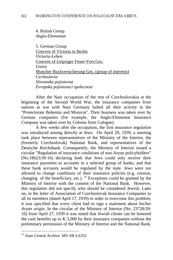4. British Group *Anglo-Elementar*

5. German Group Concern of Victoria in Berlin *Victoria-Leben* Concern of Leipziger Feuer-Vers.Ges. *Union* Muncher Ruckversicherung-Ges. (group of interests) *Cechoslavia Slovanska pojistovna Evropska pojistovaci spolecnost*

After the Nazi occupation of the rest of Czechoslovakia at the beginning of the Second World War, the insurance companies from nations at war with Nazi Germany halted all their activity in the "Protectorate Bohemia and Moravia". Their business was taken over by German companies (for example, the Anglo-Elementar Insurance Company was taken over by Colonia from Cologne).

A few weeks after the occupation, the first insurance regulation was introduced aiming directly at Jews. On April 29, 1939, a meeting took place between representatives of the Ministry of the Interior, the (formerly Czechoslovak) National Bank, and representatives of the Deutsche Reichsbank. Consequently, the Ministry of Interior issued a circular "Regulation of insurance conditions of non-Aryan policyholders" (No.18623/39-16) declaring both that Jews could only receive their insurance payments to accounts in a selected group of banks, and that these bank accounts would be regulated by the state. Jews were not allowed to change conditions of their insurance policies (e.g. cession, changing of the beneficiary, etc.).  $^{13}$  Exceptions could be granted by the Ministry of Interior with the consent of the National Bank. However, this regulation did not specify who should be considered Jewish. Later on, in the letter of Association of Czechoslovak Insurance Companies to all its members (dated April 17, 1939) in order to overcome this problem, it was specified that every client had to sign a statement about his/her *Aryan origin*. In the circular of the Ministry of Interior (No. 23728/39- 16) from April 27, 1939 it was stated that Jewish clients can be honored the cash benefits up to K 5,000 by their insurance companies without the preliminary permission of the Ministry of Interior and the National Bank.

 $\overline{a}$ 

<sup>&</sup>lt;sup>13</sup> State Central Archive MV-SR k.6352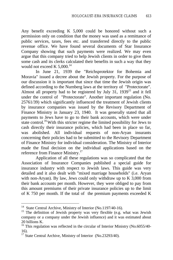Any benefit exceeding K 5,000 could be honored without such a permission only on condition that the money was used as a remittance of public services, taxes, fees etc. and transferred directly to the public revenue office. We have found several documents of Star Insurance Company showing that such payments were realized. We may even argue that this company tried to help Jewish clients in order to give them some cash and its clerks calculated their benefits in such a way that they would not exceed K  $5,000$ .<sup>14</sup>

In June 21, 1939 the "Reichsprotektor for Bohemia and Moravia" issued a decree about the Jewish property. For the purpose of our discussion it is important that since that time the Jewish origin was defined according to the Nurnberg laws at the territory of "Protectorate". Almost all property had to be registered by July  $31$ ,  $1939^{15}$  and it fell under the control of "Protectorate". Another important regulation (No. 25761/39) which significantly influenced the treatment of Jewish clients by insurance companies was issued by the Revisory Department of Finance Ministry in January 23, 1940. It was generally stated that all payments to Jews have to go to their bank accounts, which were under state control.<sup>16</sup> With this stricter regime the limited possibility for Jews to cash directly their insurance policies, which had been in place so far, was abolished. All individual requests of non-Aryan insurants concerning their policies had to be submitted to the Revisory Department of Finance Ministry for individual consideration. The Ministry of Interior made the final decision on the individual applications based on the reference from Finance Ministry.<sup>17</sup>

Application of all these regulations was so complicated that the Association of Insurance Companies published a special guide for insurance industry with respect to Jewish laws. This guide was very detailed and it also dealt with "mixed marriage households" (i.e. Aryan with non-Aryan). By law, Jews could only withdraw up to K 3,000 from their bank accounts per month. However, they were obliged to pay from this amount premiums of their private insurance policies up to the limit of K 750 per month. If the total of the premium payments exceeded K

<sup>&</sup>lt;sup>14</sup> State Central Archive, Ministry of Interior (No.1197/40-16).

<sup>&</sup>lt;sup>15</sup> The definition of Jewish property was very flexible (e.g. what was Jewish company or a company under the Jewish influence) and it was estimated about 20 billions K.

<sup>&</sup>lt;sup>16</sup> This regulation was reflected in the circular of Interior Ministry (No.6055/40-16).

<sup>&</sup>lt;sup>17</sup> State Central Archive, Ministry of Interior (No.23293/40).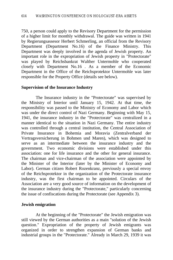750, a person could apply to the Revisory Department for the permission of a higher limit for monthly withdrawal. The guide was written in 1941 by Regierungsassesor Herbert Schmerling, an official from the Revisory Department (Department No.16) of the Finance Ministry. This Department was deeply involved in the agenda of Jewish property. An important role in the expropriation of Jewish property in "Protectorate" was played by Reichsbankrat Walther Untermohle who cooperated closely with Department No.16 . As a member of the Economic Department in the Office of the Reichsprotektor Untermohle was later responsible for the Property Office (details see below).

#### **Supervision of the Insurance Industry**

The Insurance industry in the "Protectorate" was supervised by the Ministry of Interior until January 15, 1942. At that time, the responsibility was passed to the Ministry of Economy and Labor which was under the direct control of Nazi Germany. Beginning with May 15, 1941, the insurance industry in the "Protectorate" was centralized in a manner identical to the situation in Nazi Germany. The entire industry was controlled through a central institution, the Central Association of Private Insurance in Bohemia and Moravia (Zentralverband der Vertragsversicherung in Bohmen und Maren), which was designed to serve as an intermediate between the insurance industry and the government. Two economic divisions were established under this association: one for life insurance and the other for general insurance. The chairman and vice-chairman of the association were appointed by the Minister of the Interior (later by the Minister of Economy and Labor). German citizen Robert Rozenkranz, previously a special envoy of the Reichsprotektor in the organization of the Protectorate insurance industry, was the first chairman to be appointed. Circulars of the Association are a very good source of information on the development of the insurance industry during the "Protectorate," particularly concerning the issue of confiscations during the Protectorate (see Appendix 3).

#### **Jewish emigration**

At the beginning of the "Protectorate" the Jewish emigration was still viewed by the German authorities as a main "solution of the Jewish question." Expropriation of the property of Jewish emigrants was organized in order to strengthen expansion of German banks and industrial groups in the "Protectorate." Already in March 29, 1939 it was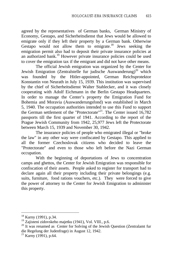agreed by the representatives of German banks, German Ministry of Economy, Gestapo, and Sicherheitsdienst that Jews would be allowed to emigrate only if they left their property by a German bank. Otherwise Gestapo would not allow them to emigrate.<sup>18</sup> Jews seeking the emigration permit also had to deposit their private insurance policies at an authorized bank.<sup>19</sup> However private insurance policies could be used to cover the emigration tax if the emigrant and did not have other means.

The official Jewish emigration was organized by the Center for Jewish Emigration (Zentralstelle fur judische Auswanderung)<sup>20</sup> which was founded by the Hitler-appointed, German Reichsprotektor Konstantin von Neurath in July 15, 1939. This institution was supervised by the chief of Sicherheitsdienst Walter Stahlecker, and it was closely cooperating with Adolf Eichmann in the Berlin Gestapo Headquarters. In order to manage the Center's property the Emigration Fund for Bohemia and Moravia (Auswanderungsfond) was established in March 5, 1940. The occupation authorities intended to use this Fund to support the German settlement of the "Protectorate"<sup>21</sup>. The Center issued  $16,782$ passports till the first quarter of 1941. According to the report of the Prague Jewish Community from 1942, 25,977 Jews left the Protectorate between March 15, 1939 and November 30, 1942.

The insurance policies of people who emigrated illegal or "broke the law" in any other way were confiscated by Gestapo. This applied to all the former Czechoslovak citizens who decided to leave the "Protectorate" and even to those who left before the Nazi German occupation.

With the beginning of deportations of Jews to concentration camps and ghettos, the Center for Jewish Emigration was responsible for confiscation of their assets. People asked to register for transport had to declare again all their property including their private belongings (e.g. suits, furniture, food rations vouchers, etc.). They were forced to give the power of attorney to the Center for Jewish Emigration to administer this property.

<sup>&</sup>lt;sup>18</sup> Karny (1991), p.34.

<sup>&</sup>lt;sup>19</sup> Zajisteni zidovskeho majetku (1941), Vol. VIII., p.6.

 $20$  It was renamed as Center for Solving of the Jewish Question (Zentralamt fur die Regelung der Judenfrage) in August 12, 1942.

 $21$  Karny (1991), p.64.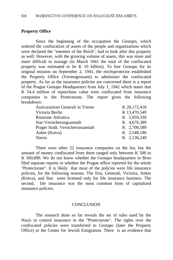## **Property Office**

Since the beginning of the occupation the Gestapo, which ordered the confiscation of assets of the people and organizations which were declared the "enemies of the Reich", had to look after this property as well. However, with the growing volume of assets, this was more and more difficult to manage (in March 1941 the total of the confiscated property was estimated to be K 10 billion). To free Gestapo for its original mission on September 2, 1941, the reichsprotector established the Property Office (Vermogensamt) to administer the confiscated property. As far as the insurance policies are concerned there is a report of the Prague Gestapo Headquarters from July 1, 1942 which states that K 54.4 million of repurchase value were confiscated from insurance companies in the Protectorate. The report gives the following breakdown:

| Assicurazioni Generali in Trieste | K 20,172,418 |
|-----------------------------------|--------------|
| Victoria Berlin                   | K 13,470,549 |
| Riunione Adriatica                | K 5,959,330  |
| Star-Versicherungsanstalt         | K 4,676,389  |
| Prager Stadt. Versicherunsanstalt | K 2,700,589  |
| Anker (Kotva)                     | K 2,548,180  |
| Slavia                            | K 2,136,240  |

There were other 22 insurance companies on the list, but the amount of money confiscated from them ranged only between K 500 to K 500,000. We do not know whether the Gestapo headquarters in Brno filed separate reports or whether the Prague office reported for the whole "Protectorate". It is likely that most of the policies were life insurance policies, for the following reasons. The first, Generali, Victoria, Anker (Kotva), and Star were licensed only for life insurance business. The second, life insurance was the most common form of capitalized insurance policies.

#### **CONCLUSION**

The research done so far reveals the set of rules used by the Nazis to control insurance in the "Protectorate". The rights over the confiscated policies were transferred to Gestapo (later the Property Office) or the Center for Jewish Emigration. There is an evidence that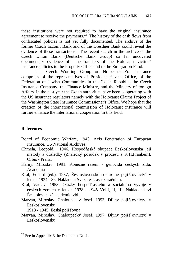these institutions were not required to have the original insurance agreement to receive the payments.<sup>22</sup> The history of the cash flows from confiscated policies is not yet fully documented. The archive of the former Czech Escomt Bank and of the Dresdner Bank could reveal the evidence of these transactions. The recent search in the archive of the Czech Union Bank (Deutsche Bank Group) so far uncovered documentary evidence of the transfers of the Holocaust victims' insurance policies to the Property Office and to the Emigration Fund.

The Czech Working Group on Holocaust Era Insurance comprises of the representatives of President Havel's Office, of the Federation of Jewish Communities in the Czech Republic, the Czech Insurance Company, the Finance Ministry, and the Ministry of foreign Affairs. In the past year the Czech authorities have been cooperating with the US insurance regulators namely with the Holocaust Claims Project of the Washington State Insurance Commissioner's Office. We hope that the creation of the international commission of Holocaust insurance will further enhance the international cooperation in this field.

## **References**

 $\overline{a}$ 

- Board of Economic Warfare, 1943, Axis Penetration of European Insurance, US National Archives.
- Chmela, Leopold, 1946, Hospodáøská okupace Èeskoslovenska její metody a dùsledky (Znalecký posudek v procesu s K.H.Frankem), Orbis - Praha.
- Karny, Miroslav, 1991, Konecne reseni genocida ceskych zidu, Academia
- Král, Eduard (ed.), 1937, Èeskoslovenské soukromé pojiš ovnictví v letech 1934 - 36, Nákladem Svazu èsl. assekuraèníkù.
- Král, Václav, 1958, Otázky hospodáøského a sociálního vývoje v èeských zemích v letech 1938 - 1945 Vol.I, II, III, Nakladatelství Èeskolovenské akademie vìd.
- Marvan, Miroslav, Chaloupecký Josef, 1993, Dìjiny pojiš ovnictví v Èeskoslovensku

1918 - 1945, Èeská pojiš ovna.

Marvan, Miroslav, Chaloupecký Josef, 1997, Dìjiny pojiš ovnictví v Èeskoslovensku

 $22$  See in Appendix 3 the Document No.4.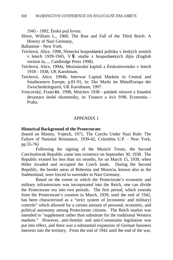1945 - 1992, Èeská pojiš ovna.

Shirer, William L., 1960, The Rise and Fall of the Third Reich: A History of Nazi Germany,

Ballantine - New York.

- Teichová, Alice, 1998, Nìmecká hospodáøská politika v èeských zemích v letech 1939-1945, V $\mathbf{\hat{E}}$  studie z hospodágských dìjin (English version in,..., Cambridge Press 1998).
- Teichová, Alice, 1994a, Mezinárodní kapitál a Èeskoslovensko v letech 1918 - 1938, UK Karolinum.
- Teichová, Alice, 1994b, Interwar Capital Markets in Central and Southeastern Europe, p.81-91, in: Der Markt im MittelEuropa der Zwischenkriegszeit, UK Karolinum, 1997.
- Vencovský, František. 1998, Mnichov 1938 poèátek mìnové a finanèní devastace èeské ekonomiky, in: Finance a úvìr 9/98, Economia - Praha.

#### APPENDIX 1

#### **Historical Background of the Protectorate**

(based on Mastny, Vojtech, 1971, The Czechs Under Nazi Rule: The Failure of National Resistance, 1939-42, Columbia U.P. - New York, pp.55-76)

Following the signing of the Munich Treaty, the Second Czechoslovak Republic came into existence on September 30, 1938. The Republic existed for less than six months, for on March 15, 1939, when Hitler invaded and occupied the Czech lands. During the Second Republic, the border areas of Bohemia and Moravia, known also as the Sudetenland, were forced to surrender to Nazi Germany.

Based on the extent to which the Protectorate's economic and military infrastructure was incorporated into the Reich, one can divide the Protectorate era into two periods. The first period, which extends from the Protectorate's creation in March, 1939, until the end of 1942, has been characterized as a "strict system of [economic and military] controls" which allowed for a certain amount of personal, economic, and political autonomy among Protectorate citizens. The Reich market was intended to "supplement rather than substitute for the traditional Western markets." However, anti-Semitic and anti-Communist legislation was put into effect, and there was a substantial expansion of German business interests into the territory. From the end of 1942 until the end of the war,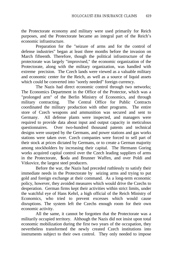the Protectorate economy and military were used primarily for Reich purposes, and the Protectorate became an integral part of the Reich's economic infrastructure.

Preparation for the "seizure of arms and for the control of defense industries" began at least three months before the invasion on March fifteenth. Therefore, though the political infrastructure of the protectorate was largely "improvised," the economic organization of the Protectorate, along with the military organization, was handled with extreme precision. The Czech lands were viewed as a valuable military and economic center for the Reich, as well as a source of liquid assets which could be converted into "sorely needed" foreign currency.

The Nazis had direct economic control through two networks; The Economics Department in the Office of the Protector, which was a "prolonged arm" of the Berlin Ministry of Economics, and through military contracting. The Central Office for Public Contracts coordinated the military production with other programs. The entire store of Czech weapons and ammunition was secured and sent to Germany. All defense plants were inspected, and managers were required to provide data about input and output capacity in meticulous questionnaires. Over two-hundred thousand patents and technical designs were usurped by the Germans, and power stations and gas works stations were taken over. Czech companies were forced to sell part of their stock at prices dictated by Germans, or to create a German majority among stockholders by increasing their capital. The Hermann Goring works acquired capital control over the Czech leading suppliers of arms in the Protectorate,  $\mathbf{\hat{x}}$ oda and Brunner Waffen, and over Poldi and Vitkovice, the largest steel producers.

Before the war, the Nazis had preceded ruthlessly to satisfy their immediate needs in the Protectorate by seizing arms and trying to put gold and foreign exchange at their command. As a long-term economic policy, however, they avoided measures which would drive the Czechs to desperation. German firms kept their activities within strict limits, under the watchful eye of Hans Kehrl, a high official of the Reich Ministry of Economics, who tried to prevent excesses which would cause disruptions. The system left the Czechs enough room for their own economic activity.

All the same, it cannot be forgotten that the Protectorate was a militarily occupied territory. Although the Nazis did not insist upon total economic mobilization during the first two years of the occupation, they nevertheless transformed the newly created Czech institutions into instruments subject to their own control. They only needed to impose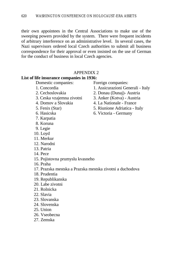their own appointees in the Central Associations to make use of the sweeping powers provided by the system. There were frequent incidents of arbitrary interference on an administrative level. In several cases, the Nazi supervisors ordered local Czech authorities to submit all business correspondence for their approval or even insisted on the use of German for the conduct of business in local Czech agencies.

## APPENDIX 2

#### **List of life insurance companies in 1936:**

Domestic companies: Foreign companies:

- 
- 
- 
- 
- 
- 
- 7. Karpatia
- 8. Koruna
- 9. Legie
- 10. Loyd
- 11. Merkur
- 12. Narodni
- 13. Patria
- 14. Pece
- 15. Pojistovna prumyslu kvasneho
- 16. Praha
- 17. Prazska mestska a Prazska mestska zivotni a duchodova
- 18. Prudentia
- 19. Republikanska
- 20. Labe zivotni
- 21. Rolnicka
- 22. Slavia
- 23. Slovanska
- 24. Slovenska
- 25. Union
- 26. Vseobecna
- 27. Zemska

- 1. Concordia 1. Assicurazioni Generali Italy
- 2. Cechoslovakia 2. Donau (Dunaj)- Austria
- 3. Ceska vzajemna zivotni 3. Anker (Kotva) Austria
- 4. Domov a Slovakia 4. La Nationale France
- 5. Fenix (Star) 5. Riunione Adriatica Italy
- 6. Hasicska 6. Victoria Germany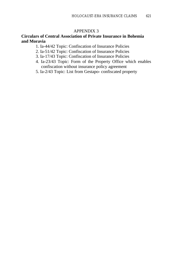#### APPENDIX 3

## **Circulars of Central Association of Private Insurance in Bohemia and Moravia**

- 1. Ia-44/42 Topic: Confiscation of Insurance Policies
- 2. Ia-51/42 Topic: Confiscation of Insurance Policies
- 3. Ia-17/43 Topic: Confiscation of Insurance Policies
- 4. Ia-23/43 Topic: Form of the Property Office which enables confiscation without insurance policy agreement
- 5. Ia-2/43 Topic: List from Gestapo- confiscated property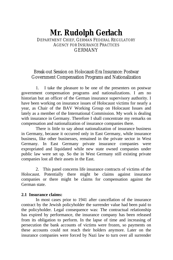## **Mr. Rudolph Gerlach** DEPARTMENT CHIEF, GERMAN FEDERAL REGULATORY AGENCY FOR INSURANCE PRACTICES **GERMANY**

## Break-out Session on Holocaust-Era Insurance: Postwar Government Compensation Programs and Nationalization

1. I take the pleasure to be one of the presenters on postwar government compensation programs and nationalizations. I am no historian but an officer of the German insurance supervisory authority. I have been working on insurance issues of Holocaust victims for nearly a year, as Chair of the BAV Working Group on Holocaust Issues and lately as a member of the International Commission. My work is dealing with insurance in Germany. Therefore I shall concentrate my remarks on compensation and nationalization of insurance companies there.

There is little to say about nationalization of insurance business in Germany, because it occurred only in East Germany, while insurance business, like other businesses, remained in the private sector in West Germany. In East Germany private insurance companies were expropriated and liquidated while new state owned companies under public law were set up. So the in West Germany still existing private companies lost all their assets in the East.

2. This panel concerns life insurance contracts of victims of the Holocaust. Potentially there might be claims against insurance companies or there might be claims for compensation against the German state.

#### **2.1 Insurance claims:**

In most cases prior to 1941 after cancellation of the insurance contract by the Jewish policyholder the surrender value had been paid to the policyholder. Legal consequence was: The contractual relationship has expired by performance, the insurance company has been released from its obligation to perform. In the lapse of time and increasing of persecution the bank accounts of victims were frozen, so payments on these accounts could not reach their holders anymore. Later on the insurance companies were forced by Nazi law to turn over all surrender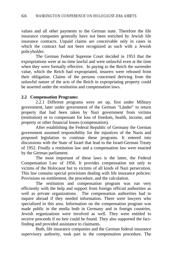values and all other payments to the German state. Therefore the life insurance companies generally have not been enriched by Jewish life insurance contracts. Unpaid claims are conceivable only in cases in which the contract had not been recognized as such with a Jewish policyholder.

The German Federal Supreme Court decided in 1953 that the expropriations were at no time lawful and were unlawful even at the time when they were formally effective. In paying to the Reich the surrender value, which the Reich had expropriated, insurers were released from their obligation. Claims of the persons concerned deriving from the unlawful nature of the acts of the Reich in expropriating property could be asserted under the restitution and compensation laws.

## **2.2 Compensation Programs:**

2.2.1 Different programs were set up, first under Military government, later under government of the German "Länder" to return property that had been taken by Nazi government from victims (restitution) or to compensate for loss of freedom, health, income, and property or other financial losses (compensation).

After establishing the Federal Republic of Germany the German government assumed responsibility for the injustices of the Nazis and proposed legislation to continue these programs. It entered into discussions with the State of Israel that lead to the Israel-German Treaty of 1952. Finally a restitution law and a compensation law were enacted by the German parliament.

The most important of these laws is the latter, the Federal Compensation Law of 1956. It provides compensation not only to victims of the Holocaust but to victims of all kinds of Nazi persecution. This law contains special provisions dealing with life insurance policies: Provisions on entitlement, the procedure, and the calculation.

The restitution and compensation program was run very efficiently with the help and support from foreign official authorities as well as private organizations. The compensation authorities had to inquire abroad if they needed information. There were lawyers who specialized in this area. Information on the compensation program was made public in the media both in Germany and in foreign countries. Jewish organizations were involved as well. They were entitled to receive proceeds if no heir could be found. They also supported the factfinding and provided assistance to claimants.

Both, life insurance companies and the German federal insurance supervisory authority, took part in the compensation procedure. The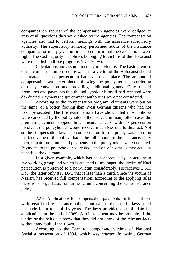companies on request of the compensation agencies were obliged to answer all questions they were asked by the agencies. The compensation agencies also had to perform hearings with the insurance supervisory authority. The supervisory authority performed audits of the insurance companies for many years in order to confirm that the calculations were right. The vast majority of policies belonging to victims of the Holocaust were included in these programs (over 70 %).

Calculations and assumptions favored victims. The basic premise of the compensation procedure was that a victim of the Holocaust should be treated as if no persecution had ever taken place. The amount of compensation was determined following the policy terms, considering currency conversion and providing additional grants. Only unpaid premiums and payments that the policyholder himself had received were de- ducted. Payments to government authorities were not considered.

According to the compensation program, claimants were put on the same, or a better, footing than West German citizens who had not been persecuted. The file examinations have shown that most policies were cancelled by the policyholders themselves, in many other cases the premium payment stopped. In an insurance case with no persecution involved, the policyholder would receive much less due to this fact. Not so the compensation law. The compensation for the policy was based on the face value of the policy, that is the full amount of the insurance. Only then, unpaid premiums and payments to the policyholder were deducted. Payments to the policyholder were deducted only insofar as they actually benefited the claimant.

In a given example, which has been approved by an actuary in my working group and which is attached to my paper, the victim of Nazi persecution is preferred to a non-victim considerably. He receives 2,510 DM, the latter only 815 DM, that is less than a third. Since the victim of Nazism has received full compensation, according to the applying rules there is no legal basis for further claims concerning the same insurance policy.

2.2.2 Applications for compensation payments for financial loss with regard to life insurance policies pursuant to the specific laws could be made for a total of 13 years. The laws provided a cutoff date for applications at the end of 1969. A reinstatement may be possible, if the victim or the heirs can show that they did not know of the relevant facts without any fault of their own.

According to the Law to compensate victims of National Socialist persecution of 1994, which was enacted following German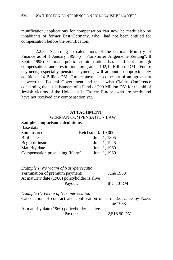reunification, applications for compensation can now be made also by inhabitants of former East Germany, who had not been entitled for compensation before the reunification.

2.2.3 According to calculations of the German Ministry of Finance as of 1 January 1998 (s. "Frankfurter Allgemeine Zeitung", 8 Sept. 1998) German public administration has paid out through compensation and restitution programs 102,1 Billion DM. Future payments, especially pension payments, will amount to approximately additional 24 Billion DM. Further payments come out of an agreement between the Federal Government and the Jewish Claims Conference concerning the establishment of a Fund of 200 Million DM for the aid of Jewish victims of the Holocaust in Eastern Europe, who are needy and have not received any compensation yet.

#### **ATTACHMENT**

#### GERMAN COMPENSATION LAW

#### **Sample comparison calculations**

Base data:

| Dast uaia.                       |                   |
|----------------------------------|-------------------|
| Sum insured:                     | Reichsmark 10,000 |
| Birth date                       | June 1, 1895      |
| Begin of insurance               | June 1, 1925      |
| Maturity date                    | June 1, 1960      |
| Compensation proceeding (if any) | June 1, 1960      |

| Example I: No victim of Nazi-persecution      |           |
|-----------------------------------------------|-----------|
| Termination of premium payment:               | June 1938 |
| At maturity date (1960) policyholder is alive |           |
| Payout:                                       | 815.70 DM |

| Example II: Victim of Nazi persecution                                |             |  |
|-----------------------------------------------------------------------|-------------|--|
| Cancellation of contract and confiscation of surrender value by Nazis |             |  |
|                                                                       | June 1938   |  |
| At maturity date (1960) policyholder is alive                         |             |  |
| Payout:                                                               | 2,516.50 DM |  |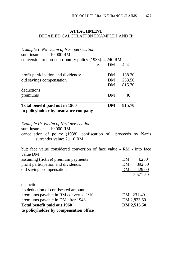## **ATTACHMENT** DETAILED CALCULATION EXAMPLE I AND II:

| Example I: No victim of Nazi persecution                                                                                                                          |      |           |              |          |
|-------------------------------------------------------------------------------------------------------------------------------------------------------------------|------|-----------|--------------|----------|
| sum insured<br>10,000 RM                                                                                                                                          |      |           |              |          |
| conversion to non-contributory policy (1938): 4,240 RM                                                                                                            | i.e. | <b>DM</b> | 424          |          |
| profit participation and dividends:                                                                                                                               |      | DM        | 138.20       |          |
| old savings compensation                                                                                                                                          |      | DM        | 253.50       |          |
|                                                                                                                                                                   |      | DM \      | 815.70       |          |
| deductions:                                                                                                                                                       |      |           |              |          |
| premiums                                                                                                                                                          |      | <b>DM</b> | $\mathbf{0}$ |          |
| Total benefit paid out in 1960                                                                                                                                    |      | <b>DM</b> | 815.70       |          |
| to policyholder by insurance company                                                                                                                              |      |           |              |          |
| Example II: Victim of Nazi persecution<br>sum insured: 10,000 RM<br>cancellation of policy (1938), confiscation of proceeds by Nazis<br>surrender value: 2,110 RM |      |           |              |          |
| but: face value considered conversion of face value - RM - into face<br>value DM                                                                                  |      |           |              |          |
| assuming (fictive) premium payments                                                                                                                               |      |           | DM           | 4,250    |
| profit participation and dividends:                                                                                                                               |      |           | DM           | 892.50   |
| old savings compensation                                                                                                                                          |      |           | DM           | 429.00   |
|                                                                                                                                                                   |      |           |              | 5,571.50 |
| deductions:                                                                                                                                                       |      |           |              |          |
| no deduction of confiscated amount                                                                                                                                |      |           |              |          |
| premiums payable in RM converted 1:10                                                                                                                             |      |           | DM 231.40    |          |
| premiums payable in DM after 1948                                                                                                                                 |      |           | DM 2,823.60  |          |
| Total benefit paid out 1960                                                                                                                                       |      |           | DM 2,516.50  |          |
| to policyholder by compensation office                                                                                                                            |      |           |              |          |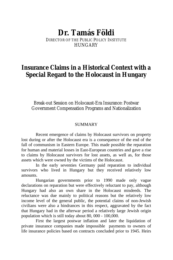# **Dr. Tamás Földi**

DIRECTOR OF THE PUBLIC POLICY INSTITUTE **HUNGARY** 

# **Insurance Claims in a Historical Context with a Special Regard to the Holocaust in Hungary**

Break-out Session on Holocaust-Era Insurance: Postwar Government Compensation Programs and Nationalization

## SUMMARY

Recent emergence of claims by Holocaust survivors on property lost during or after the Holocaust era is a consequence of the end of the fall of communism in Eastern Europe. This made possible the reparation for human and material losses in East-European countries and gave a rise to claims by Holocaust survivors for lost assets, as well as, for those assets which were owned by the victims of the Holocaust.

In the early seventies Germany paid reparation to individual survivors who lived in Hungary but they received relatively low amounts.

Hungarian governments prior to 1990 made only vague declarations on reparation but were effectively reluctant to pay, although Hungary had also an own share in the Holocaust misdeeds. The reluctance was due mainly to political reasons but the relatively low income level of the general public, the potential claims of non-Jewish civilians were also a hindrances in this respect, aggravated by the fact that Hungary had in the afterwar period a relatively large Jewish origin population which is still today about 80, 000 - 100,000.

First the largest postwar inflation and later the liquidation of private insurance companies made impossible payments to owners of life insurance policies based on contracts concluded prior to 1945. Heirs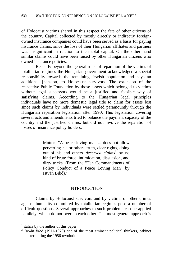of Holocaust victims shared in this respect the fate of other citizens of the country. Capital collected by mostly directly or indirectly foreignowned insurance companies could have been served as a basis for paying insurance claims, since the loss of their Hungarian affiliates and partners was insignificant in relation to their total capital. On the other hand similar claims could have been raised by other Hungarian citizens who owned insurance policies.

Recently beyond the general rules of reparation of the victims of totalitarian regimes the Hungarian government acknowledged a special responsibility towards the remaining Jewish population and pays an additional [pension] to Holocaust survivors. The extension of the respective Public Foundation by those assets which belonged to victims without legal successors would be a justified and feasible way of satisfying claims. According to the Hungarian legal principles individuals have no more domestic legal title to claim for assets lost since such claims by individuals were settled paramountly through the Hungarian reparation legislation after 1990. This legislation covering several acts and amendments tried to balance the payment capacity of the country and the justified claims, but did not involve the reparation of losses of insurance policy holders.

> Motto: "A peace loving man ... does not allow perverting his or others' truth, clear rights, doing out of his and others' *deserved claims<sup>1</sup>* by no kind of brute force, intimidation, dissuasion, and dirty tricks. (From the "Ten Commandments of Policy Conduct of a Peace Loving Man" by István Bibó). $2$

## INTRODUCTION

Claims by Holocaust survivors and by victims of other crimes against humanity committed by totalitarian regimes pose a number of difficult questions. Several approaches to such problems can be applied parallely, which do not overlap each other. The most general approach is

 $<sup>1</sup>$  italics by the author of this paper</sup>

 $^{2}$  *István Bibó* (1911-1979) one of the most eminent political thinkers, cabinet minister during the 1956 revolution.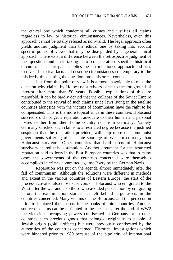the ethical one which condemns all crimes and justifies all claims regardless to law or historical circumstances. Nevertheless, even this approach cannot be totally refused as non-valid. The legal approach often yields another judgment than the ethical one by taking into account specific points of views that may be disregarded by a general ethical approach. There exist a difference between the retrospective judgment of the question and that taking into consideration specific historical circumstances. This paper applies the last mentioned approach and tries to reveal historical facts and describe circumstances contemporary to the misdeeds, thus putting the question into a historical context.

Just from this point of view it is almost unavoidable to raise the question why claims by Holocaust survivors came to the foreground of interest after more than 50 years. Possible explanations of this are manyfold. It can be hardly denied that the collapse of the Soviet Empire contributed to the revival of such claims since Jews living in the satellite countries alongside with the victims of communism have the right to be compensated. This is the more topical since in these countries Holocaust survivors did not get a reparation adequate to their human and personal losses neither from their home country nor from Germany. Namely Germany satisfied such claims to a restricted degree because the justified suspicion that the reparation provided, will help more the communist governments suffering of an acute shortage of Western currency than Holocaust survivors. Other countries that hold assets of Holocaust survivors shared this assumption. Another argument for the restricted reparation paid to Jews in the East European countries was that in many cases the governments of the countries concerned were themselves accomplices in crimes committed against Jewry by the German Nazis.

Reparation was put on the agenda almost immediately after the fall of communism. Although the solutions were different in methods and extent in the various countries of Eastern Europe, the start of the process activated also those survivors of Holocaust who emigrated to the West after the war and also those who avoided persecution by emigrating before the extermination started but left behind large assets in the countries concerned. Many victims of the Holocaust and the persecution prior to it placed their assets in the banks of third countries. Another source of claims can be attributed to the fact that after the end of WW2 the victorious occupying powers confiscated in Germany or in other countries such precious goods that belonged originally to people of Jewish origin (gold, artifacts) but were previously confiscated by the authorities of the countries concerned. Historical investigations which were hindered prior to 1989 because of the bipolarity of international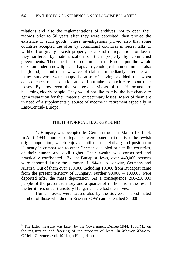relations and also the reglementations of archives, not to open their records prior to 50 years after they were deposited, then proved the existence of such goods. These investigations proved also that some countries accepted the offer by communist countries in secret talks to withhold originally Jewish property as a kind of reparation for losses they suffered by nationalization of their property by communist governments. Thus the fall of communism in Europe put the whole question under a new light. Perhaps a psychological momentum can also be [found] behind the new wave of claims. Immediately after the war many survivors were happy because of having avoided the worst consequences of persecution and did not take so much care about their losses. By now even the youngest survivors of the Holocaust are becoming elderly people. They would not like to miss the last chance to get a reparation for their material or pecuniary losses. Many of them are in need of a supplementary source of income in retirement especially in East-Central- Europe.

#### THE HISTORICAL BACKGROUND

1. Hungary was occupied by German troops at March 19, 1944. In April 1944 a number of legal acts were issued that deprived the Jewish origin population, which enjoyed until then a relative good position in Hungary in comparison to other German occupied or satellite countries, of their human and civil rights. Their wealth was conscribed and practically confiscated<sup>3</sup>. Except Budapest Jews, over 440,000 persons were deported during the summer of 1944 to Auschwitz, Germany and Austria. Out of them over 150,000 including 10,000 from Budapest came from the present territory of Hungary. Further 90,000 – 100,000 were deported after the mass deportation. As a consequence 200-210,000 people of the present territory and a quarter of million from the rest of the territories under transitory Hungarian rule lost their lives.

Human losses were caused also by the Soviets. The estimated number of those who died in Russian POW camps reached 20,000.

<sup>&</sup>lt;sup>3</sup> The latter measure was taken by the Government Decree 1944. 1600/ME on the registration and freezing of the property of Jews. In *Magyar Közlöny*. Official Gazetteer. vol. 1944. (in Hungarian.)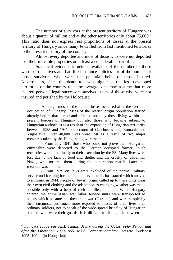The number of survivors at the present territory of Hungary was about a quarter of million and at the other territories only about  $75,000$ .<sup>4</sup> This ratio does not express real proportions of losses at the present territory of Hungary since many Jews fled from last mentioned territories to the present territory of the country.

Almost every deportee and most of those who were not deported lost their movable properties or at least a considerable part of it.

Statistical evidence is neither available of the number of those who lost their lives and had life insurance policies nor of the number of those survivors who were the potential heirs of those insured. Nevertheless, since the death toll was higher at the less developed territories of the country than the average, one may assume that more insured persons' legal successors survived, than of those who were not insured and perished by the Holocaust.

Although most of the human losses occurred after the German occupation of Hungary, losses of the Jewish origin population started already before that period and affected not only those living within the present borders of Hungary but also those who became subject to Hungarian authorities as a result of the expansion of Hungarian territories between 1938 and 1941 on account of Czechoslovakia, Romania and Yugoslavia. Over 40,000 lives were lost as a result of two major measures taken by the Hungarian government:

- From July 1941 those who could not prove their Hungarian citizenship were deported to the German occupied former Polish territories which led finally to their execution by the SS. Many lives were lost due to the lack of food and shelter and the cruelty of Ukrainian Nazis, who tortured them during the deportation march. Later this measure was annulled.

- From 1939 on Jews were excluded of the normal military service and forming for them labor service units has started which arrived to a climax in 1944. People of Jewish origin called up to these units wear their own civil clothing and the adaptation to changing weather was made possible only with a help of their families, if at all. When Hungary entered the anti-Russian war labor service units were transported to places which became the theater of war (Ukraine) and were simple by their circumstances much more exposed to losses of their lives than ordinary soldiers, not to speak of the wide-spread brutality of Hungarian soldiers who were their guards. It is difficult to distinguish between the

 4 For data above see Stark Tamás*: Jewry during the Catastrophy Period and after the Liberation 1939-1955.* MTA Történettudományi Intézete. Budapest 1995. 109 p. (in Hungarian)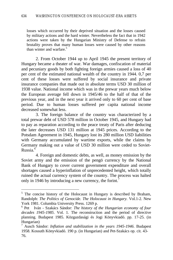losses which occurred by their deprived situation and the losses caused by military actions and the hard winter. Nevertheless the fact that in 1942 actions were taken by the Hungarian Ministry of Defense to refrain brutality proves that many human losses were caused by other reasons than winter and warfare.<sup>5</sup>

2. From October 1944 up to April 1945 the present territory of Hungary became a theater of war. War damages, confiscation of material and pecuniary goods by both fighting foreign armies caused a loss of 40 per cent of the estimated national wealth of the country in 1944. 0,7 per cent of these losses were suffered by social insurance and private insurance companies that made out in absolute terms USD 30 million of 1938 value. National income which was in the prewar years much below the European average fell down in 1945/46 to the half of that of the previous year, and in the next year it arrived only to 60 per cent of base period. Due to human losses suffered per capita national income decreased somewhat less.

3. The foreign balance of the country was characterized by a total prewar debt of USD 578 million in October 1945, and Hungary had to pay as reparation according to the peace treaty of Paris after deducing the later decreases USD 131 million at 1945 prices. According to the Potsdam Agreement in 1945, Hungary lost its 280 million USD liabilities with Germany accumulated by wartime exports, while the claims by Germany making out a value of USD 30 million were ceded to Soviet-Russia.<sup>6</sup>

4. Foreign and domestic debts, as well, as money emission by the Soviet army and the emission of the pengö currency by the National Bank of Hungary to cover current government expenditure and overall shortages caused a hyperinflation of unprecedented height, which totally ruined the actual currency system of the country. The process was halted only in 1946 by introducing a new currency, the forint.

<sup>&</sup>lt;sup>5</sup> The concise history of the Holocaust in Hungary is described by Braham, Randolph: *The Politics of Genocide. The Holocaust in Hungary.* Vol.1-2. New York 1981. Columbia University Press. 1269 p.

 $^{\circ}$  Pet Iván - Szakács Sándor: *The history of the Hungarian economy of four decades 1945-1985*. Vol. 1. The reconstruction and the period of directive planning. Budapest 1985. Közgazdasági és Jogi Könyvkiadó. pp. 17-25. (in Hungarian)

<sup>7</sup> Ausch Sándor: *Inflation and stabilization in the years 1945-1946*. Budapest 1958. Kossuth Könyvkiadó. 190 p. (in Hungarian) and Pet-Szakács op. cit. 43- 76.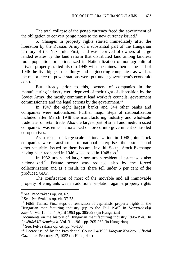The total collapse of the pengö currency freed the government of the obligation to convert pengo notes to the new currency issued.<sup>8</sup>

5. Changes in property rights started immediately after the liberation by the Russian Army of a substantial part of the Hungarian territory of the Nazi rule. First, land was deprived of owners of large landed estates by the land reform that distributed land among landless rural population or nationalized it. Nationalization of non-agricultural private property started also in 1945 with the mines, then at the end of 1946 the five biggest metallurgy and engineering companies, as well as the major electric power stations were put under government's economic  $control<sup>9</sup>$ 

But already prior to this, owners of companies in the manufacturing industry were deprived of their right of disposition by the Soviet Army, the mostly communist lead worker's councils, government commissioners and the legal actions by the government.<sup>10</sup>

In 1947 the eight largest banks and 344 other banks and companies were nationalized. Further major steps of nationalization included after March 1948 the manufacturing industry and wholesale trade later on retail trade. Also the largest part of small and medium sized companies was either nationalized or forced into government controlled co-operatives.

As a result of large-scale nationalization in 1948 joint stock companies were transformed to national enterprises their stocks and other securities issued by them became invalid. So the Stock Exchange having been reopened in 1946 was closed in 1948 too.<sup>11</sup>

In 1952 urban and larger non-urban residential estate was also nationalized.<sup>12</sup> Private sector was reduced also by the forced collectivization and as a result, its share fell under 5 per cent of the produced GDP.

The confiscation of most of the movable and all immovable property of emigrants was an additional violation against property rights

<sup>8</sup> See: Pet-Szakács op. cit. 62.

<sup>&</sup>lt;sup>9</sup> See: Pet -Szakács op. cit. 37-75.

 $10$  Földi Tamás: First steps of restriction of capitalists' property rights in the Hungarian manufacturing industry (up to the Fall 1945) in *Közgazdasági Szemle*. Vol.10. no. 4. April 1963 pp. 385-398 (in Hungarian)

Documents on the history of Hungarian manufacturing industry 1945-1946. In *Levéltári Közlemények*. Vol. 31. 1961. pp. 205-262 (in Hungarian)

 $11$  See: Pet-Szakács op. cit. pp. 76-103

<sup>12</sup> Decree issued by the Presidential Council 4/1952 *Magyar Közlöny.* Official Gazetteer. February 17, 1952 (in Hungarian)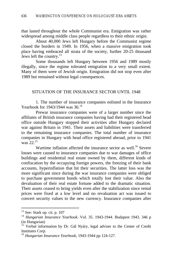that lasted throughout the whole Communist era. Emigration was rather widespread among middle class people regardless to their ethnic origin.

About 40,000 Jews left Hungary before the Communist regime closed the borders in 1949. In 1956, when a massive emigration took place having embraced all strata of the society, further 20-25 thousand Jews left the country.<sup>13</sup>

Some thousands left Hungary between 1956 and 1989 mostly illegally, since the regime tolerated emigration to a very small extent. Many of them were of Jewish origin. Emigration did not stop even after 1989 but remained without legal consequences.

#### SITUATION OF THE INSURANCE SECTOR UNTIL 1948

1. The number of insurance companies enlisted in the Insurance Yearbook for 1943/1944 was 36.<sup>14</sup>

Prewar insurance companies were of a larger number since the affiliates of British insurance companies having had their registered head office outside Hungary stopped their activities after Hungary declared war against Britain in 1941. Their assets and liabilities were transferred to the remaining insurance companies. The total number of insurance companies in Hungary with head office registered abroad, prior to 1941 was 22.<sup>15</sup>

Wartime inflation affected the insurance sector as well.<sup>16</sup> Severe losses were caused to insurance companies due to war damages of office buildings and residential real estate owned by them, different kinds of confiscation by the occupying foreign powers, the freezing of their bank accounts, hyperinflation that hit their securities. The latter loss was the more significant since during the war insurance companies were obliged to purchase government bonds which totally lost their value. Also the devaluation of their real estate fortune added to the dramatic situation. Their assets ceased to bring yields even after the stabilization since rental prices were fixed at a low level and no revaluation act was issued to convert security values to the new currency. Insurance companies after

 $13$  See: Stark op. cit. p. 107

<sup>14</sup> *Hungarian Insurance Yearbook*. Vol. 35. 1943-1944. Budapest 1943. 346 p (in Hungarian)

<sup>&</sup>lt;sup>15</sup> Verbal information by Dr. Gál Nyáry, legal adviser to the Center of Credit Institutes Corp.

<sup>16</sup> *Hungarian Insurance Yearbook*, 1943-1944 pp 124-127.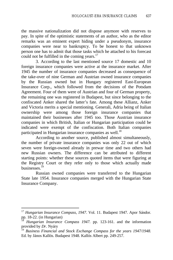the massive nationalization did not dispose anymore with reserves to pay. In spite of the optimistic statements of an author, who as the editor remarks was an eminent expert hiding under a pseudonym, insurance companies were near to bankruptcy. To be honest to that unknown person one has to admit that those tasks which he attached to his forecast could not be fulfilled in the coming years. $17$ 

3. According to the last mentioned source 17 domestic and 10 foreign insurance companies were active at the insurance market. After 1945 the number of insurance companies decreased as consequence of the take-over of nine German and Austrian owned insurance companies by the Russian owned but in Hungary registered East-European Insurance Corp., which followed from the decisions of the Potsdam Agreement. Four of them were of Austrian and four of German property, the remaining one was registered in Budapest, but since belonging to the confiscated Anker shared the latter's fate. Among these Allianz, Anker and Victoria merits a special mentioning. Generali, Adria being of Italian ownership were among those foreign insurance companies that maintained their businesses after 1945 too. Those Austrian insurance companies in which British, Italian or Hungarian participation could be indicated were exempt of the confiscation. Both Italian companies participated in Hungarian insurance companies as well.<sup>18</sup>

According to another source, published almost simultaneously, the number of private insurance companies was only 22 out of which seven were foreign-owned already in prewar time and two others had new Russian owners. The difference can be attributed to different starting points: whether these sources quoted items that were figuring at the Registry Court or they refer only to those which actually made businesses.<sup>19</sup>

Russian owned companies were transferred to the Hungarian State late 1954. Insurance companies merged with the Hungarian State Insurance Company.

<sup>&</sup>lt;sup>17</sup> Hungarian Insurance Compass, 1947. Vol. 11. Budapest 1947. Apor Sándor. pp. 18-22. (in Hungarian)

<sup>18</sup> *Hungarian Insurance Compass 1947.* pp. 123-161. and the information provided by *Dr*. Nyáry

<sup>19</sup> *Business Financial and Stock Exchange Compass for the years 1947/1948.* Ed. by János Kallós. Budapest 1948. Kallós Albert pp. 249-257.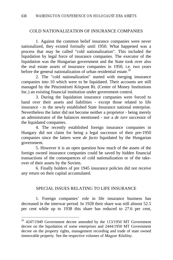#### COLD NATIONALIZATION OF INSURANCE COMPANIES

1. Against the common belief insurance companies were never nationalized, they existed formally until 1950. What happened was a process that may be called "cold nationalization". This included the liquidation by legal force of insurance companies. The executor of the liquidation was the Hungarian government and the State took over also the real estate assets of insurance companies in 1950, i.e. two years before the general nationalization of urban residential estate.<sup>20</sup>

2. The "cold nationalization" started with merging insurance companies into 10 which were to be liquidated. Their accounts are still managed by the Pénzintézeti Központ Rt. (Center of Money Institutions Inc.) an existing financial institution under government control.

3. During the liquidation insurance companies were forced to hand over their assets and liabilities - except those related to life insurance - to the newly established State Insurance national enterprise. Nevertheless the latter did not become neither a proprietor - being merely an administrator of the balances mentioned - nor a *de iure* successor of the liquidated companies.

4. The recently established foreign insurance companies in Hungary did not claim for being a legal successor of their pre-1950 companies since the latters were *de facto* liquidated by the Hungarian government.

5. However it is an open question how much of the assets of the foreign owned insurance companies could be saved by hidden financial transactions of the consequences of cold nationalization or of the takeover of their assets by the Soviets.

6. Finally holders of pre 1945 insurance policies did not receive any return on their capital accumulated.

## SPECIAL ISSUES RELATING TO LIFE INSURANCE

1. Foreign companies' role in life insurance business has decreased in the interwar period. In 1928 their share was still almost 52.5 per cent while up to 1938 this share has reduced to 27.6 per cent,

 $20$  4247/1949 Government decree amended by the 113/1950 MT Government decree on the liquidation of some enterprises and 2444/1950 MT Government decree on the property rights, management recording and trade of state owned immovable property. See the respective volumes of *Magyar Közlöny*.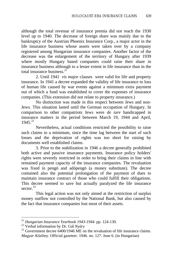although the total revenue of insurance premia did not reach the 1930 level up to 1940. The decrease of foreign share was mainly due to the bankruptcy of the Austrian Phoenix Insurance Corp., a major actor in the life insurance business whose assets were taken over by a company registered among Hungarian insurance companies. Another factor of the decrease was the enlargement of the territory of Hungary after 1939 where mostly Hungary based companies could raise their share in insurance business although to a lesser extent in life insurance than in the total insurance business  $21$ 

2. Until 1941 *vis major* clauses were valid for life and property insurance. In 1941 a decree expanded the validity of life insurance to loss of human life caused by war events against a minimum extra payment out of which a fund was established to cover the expenses of insurance companies. (This extension did not relate to property insurance.)

No distinction was made in this respect between Jews and non-Jews. This situation lasted until the German occupation of Hungary. In comparison to other compatriots Jews were *de iure* handicapped in insurance matters in the period between March 19, 1944 and April,  $1945^{22}$ 

Nevertheless, actual conditions restricted the possibility to raise such claims to a minimum, since the time lag between the start of such losses and the deprivation of rights was too short for raising by documents well established claims.

3. Prior to the stabilization in 1946 a decree generally prohibited both active and passive insurance payments. Insurance policy holders' rights were severely restricted in order to bring their claims in line with remained payment capacity of the insurance companies. The revaluation was fixed in pengö and adópengö (a money substitute). The decree contained also the potential prolongation of the payment of dues to maintain insurance contract of those who could fulfill their obligations. This decree seemed to save but actually paralyzed the life insurance sector.<sup>23</sup>

This legal action was not only aimed at the restriction of surplus money outflow not controlled by the National Bank, but also caused by the fact that insurance companies lost most of their assets.

<sup>21</sup> *Hungarian Insurance Yearbook 1943-1944.* pp. 124-130.

<sup>22</sup> Verbal information by Dr. Gál *Nyáry*

 $^{23}$  Government decree 6400/1946 ME on the revaluation of life insurance claims. *Magyar Közlöny*. Official gazeteer. 1946. no. 127. June 6. (in Hungarian)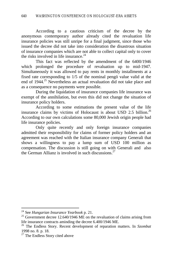According to a cautious criticism of the decree by the anonymous contemporary author already cited the revaluation life insurance policies was still unripe for a final judgment, since those who issued the decree did not take into consideration the disastrous situation of insurance companies which are not able to collect capital only to cover the risks involved in life insurance.<sup>24</sup>

This fact was reflected by the amendment of the 6400/1946 which prolonged the procedure of revaluation up to mid-1947. Simultaneously it was allowed to pay rents in monthly installments at a fixed rate corresponding to 1/5 of the nominal pengö value valid at the end of 1944.<sup>25</sup> Nevertheless an actual revaluation did not take place and as a consequence no payments were possible.

During the liquidation of insurance companies life insurance was exempt of the annihilation, but even this did not change the situation of insurance policy holders.

According to some estimations the present value of the life insurance claims by victims of Holocaust is about USD 2.5 billion.<sup>26</sup> According to our own calculations some 80,000 Jewish origin people had life insurance policies.

Only quite recently and only foreign insurance companies admitted their responsibility for claims of former policy holders and an agreement was reached with the Italian insurance company Generali that shows a willingness to pay a lump sum of USD 100 million as compensation. The discussion is still going on with Generali and also the German Allianz is involved in such discussions.<sup>27</sup>

<sup>24</sup> See *Hungarian Insurance Yearbook* p. 21.

<sup>&</sup>lt;sup>25</sup> Government decree 12.640/1946 ME on the revaluation of claims arising from life insurance contracts aminding the decree 6.400/1946 ME.

<sup>26</sup> The Endless Story. Recent development of reparation matters. In *Szombat* 1998 no. 8. p. 18.

<sup>&</sup>lt;sup>27</sup> The Endless Story cited above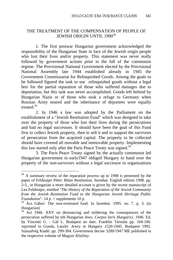## THE TREATMENT OF THE COMPENSATION OF PEOPLE OF JEWISH ORIGIN UNTIL 1990*<sup>28</sup>*

1. The first postwar Hungarian government acknowledged the responsibility of the Hungarian State in face of the Jewish origin people who lost their lives and/or property. This statement was never really followed by government actions prior to the fall of the communist regime. The Provisional National Government elected by the Provisional National Assembly late 1944 established already in 1945 the Government Commissariat for Relinquished Goods. Among the goals to be followed figured the task to use relinquished goods without a legal heir for the partial reparation of those who suffered damages due to deportation, but this task was never accomplished. Goods left behind by Hungarian Nazis or of those who took a refuge to Germany when Russian Army neared and the inheritance of deportees were equally treated<sup>29</sup>

2. In 1946 a law was adopted by the Parliament on the establishment of a "Jewish Restitution Fund" which was designed to take over the property of those who lost their lives during the persecutions and had no legal successors. It should have been the goal of this Fund first to collect Jewish property, then to sell it and to support the survivors of persecution from the acquired capital. The property to be collected should have covered all movable and immovable property. Implementing this law started only after the Paris Peace Treaty was signed. $30$ 

3. The Paris Peace Treaty signed by the actually communist led Hungarian government in early1947 obliged Hungary to hand over the property of the non-survivors without a legal successor to organizations

 $2<sup>28</sup>$  A summary review of the reparation process up to 1998 is presented by the paper of Feldmájer Péter: Bitter Restitution. *Szombat*. English edition 1998. pp. 2-5., in Hungarian a more detailed account is given by the recent manuscript of Lea Feldmájer, entitled *"The History of the Reparation of the Jewish Community from the Jewish Restitution Fund to the Hungarian Jewish Heritage Public Foundation".* 14 p. + supplements 10 p.

<sup>&</sup>lt;sup>29</sup> Ács Gábor: The non-restituted fund. In *Szombat*. 1995. no. 7. p. 3. (in Hungarian)

<sup>&</sup>lt;sup>30</sup> Act 1946. XXV on denouncing and mildering the consequences of the persecution suffered by teh Hungarian Jews. *Corpus Iuris Hungarici, 1946.* Ed. by Vincenti G. - Gál L. Budapest no date. Franklin Társulat pp. 104-106. reprinted in Gonda, László: *Jewry in Hungary 1526-1945.* Budapest 1992. Századvég Kiadó. pp. 299-304. Government decree 3200/1947 ME published in the respective volume of *Magyar Közlöny.*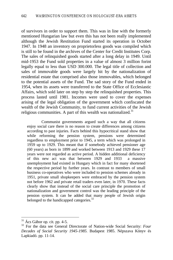of survivors in order to support them. This was in line with the formerly mentioned Hungarian law but even this has not been really implemented although the Jewish Restitution Fund started its operation in October 1947. In 1948 an inventory on proprietorless goods was compiled which is still to be found in the archives of the Center for Credit Institutes Corp. The sales of relinquished goods started after a long delay in 1949. Until mid-1953 the Fund sold properties in a value of almost 3 million forint legally equal to less than USD 300.000. The legal title of collection and sales of immovable goods were largely hit by the nationalization of residential estate that comprised also those immovables, which belonged to the potential assets of the Fund. The sad story of the Fund ended in 1954, when its assets were transferred to the State Office of Ecclesiastic Affairs, which sold later on step by step the relinquished properties. This process lasted until 1981. Incomes were used to cover the expenses arising of the legal obligation of the government which confiscated the wealth of the Jewish Community, to fund current activities of the Jewish religious communities. A part of this wealth was nationalized.<sup>31</sup>

Communist governments argued such a way that all citizens enjoy social care there is no reason to create differences among citizens according to past injuries. Facts behind this hypocritical stand show that while reforming the pension system, pensions were determined regardless to employment prior to 1945, a term which was prolonged in 1959 up to 1929. This meant that if somebody achieved pensioner age (60 years) as born in 1899 and worked between 1913 and 1929 these 17 years were not regarded as active period. A hidden additional deficiency of this new act was that between 1929 and 1933 a massive unemployment had existed in Hungary which in fact for many shortened the respective period by further years. In contrast to members of small business co-operatives who were included to pension schemes already in 1951, private small shopkeepers were embraced by the pension system not before 1962 and private retail traders even later, in 1970. These facts clearly show that instead of the social care principle the promotion of nationalization and government control was the leading principle of the pension system. It can be added that many people of Jewish origin belonged to the handicapped categories.<sup>32</sup>

 $31$  Ács Gábor op. cit. pp. 4-5.

<sup>32</sup> For the data see General Directorate of Nation-wide Social Security: *Four Decades of Social Security 1945-1985.* Budapest 1985. Népszava Könyv és Lapkiadó. pp. 11-14.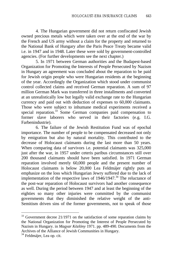4. The Hungarian government did not return confiscated Jewish owned precious metals which were taken over at the end of the war by the French and US army without a claim for the property and returned to the National Bank of Hungary after the Paris Peace Treaty became valid i.e. in 1947 and in 1948. Later these were sold by government-controlled agencies. (For further developments see the next chapter.)

5. In 1971 between German authorities and the Budapest-based Organization for Promoting the Interests of People Persecuted by Nazism in Hungary an agreement was concluded about the reparation to be paid for Jewish origin people who were Hungarian residents at the beginning of the year. Accordingly the Organization which stood under communist control collected claims and received German reparation. A sum of 97 million German Mark was transferred in three installments and converted at an unrealistically low but legally valid exchange rate to the Hungarian currency and paid out with deduction of expenses to 60,000 claimants. Those who were subject to inhumane medical experiments received a special reparation.<sup>33</sup> Some German companies paid compensation to former slave laborers who served in their factories (e.g. I.G. Farbenindustrie).

6. The failure of the Jewish Restitution Fund was of epochal importance. The number of people to be compensated decreased not only by emigration but also by natural mortality. This contributed to the decrease of Holocaust claimants during the last more than 50 years. When comparing data of survivors i.e. potential claimants was 325,000 just after the war, in 1957 under ceteris paribus circumstances still over 200 thousand claimants should have been satisfied. In 1971 German reparation involved merely 60,000 people and the present number of Holocaust claimants is below 20,000 Lea Feldmájer rightly puts an emphasize on the loss which Hungarian Jewry suffered due to the lack of implementation of the respective laws of  $1946/1947$ .<sup>34</sup> The reluctance of the post-war reparation of Holocaust survivors had another consequence as well. During the period between 1947 and at least the beginning of the eighties so many other injuries were committed by the communist governments that they diminished the relative weight of the anti-Semitism driven sins of the former governments, not to speak of those

 $33$  Government decree 21/1971 on the satisfaction of some reparation claims by the National Organization for Promoting the Interest of People Persecuted by Nazism in Hungary. in *Magyar Közlöny* 1971. pp. 489-490. Documents from the Archives of the Alliance of Jewish Communities in Hungary.

<sup>&</sup>lt;sup>34</sup> Feldmájer, Lea op. cit.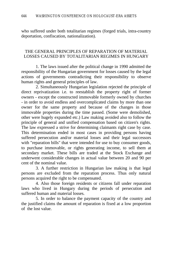who suffered under both totalitarian regimes (forged trials, intra-country deportation, confiscation, nationalization).

## THE GENERAL PRINCIPLES OF REPARATION OF MATERIAL LOSSES CAUSED BY TOTALITARIAN REGIMES IN HUNGARY

1. The laws issued after the political change in 1990 admitted the responsibility of the Hungarian government for losses caused by the legal actions of governments contradicting their responsibility to observe human rights and general principles of law.

2. Simultaneously Hungarian legislation rejected the principle of direct reprivatization i.e. to reestablish the property right of former owners - except the constructed immovable formerly owned by churches - in order to avoid endless and overcomplicated claims by more than one owner for the same property and because of the changes in those immovable properties during the time passed. (Some were demolished, other were hugely expanded etc.) Law making avoided also to follow the principle of general and unified compensation based on citizen's rights. The law expressed a strive for determining claimants right case by case. This determination ended in most cases in providing persons having suffered persecution and/or material losses and their legal successors with "reparation bills" that were intended for use to buy consumer goods, to purchase immovable, or rights generating income, to sell them at secondary market. These bills are traded at the Stock Exchange and underwent considerable changes in actual value between 20 and 90 per cent of the nominal value.

3. A further restriction in Hungarian law making is that legal persons are excluded from the reparation process. Thus only natural persons acquired the right to be compensated.

4. Also those foreign residents or citizens fall under reparation laws who lived in Hungary during the periods of persecution and suffered human and material losses.

5. In order to balance the payment capacity of the country and the justified claims the amount of reparation is fixed at a low proportion of the lost value.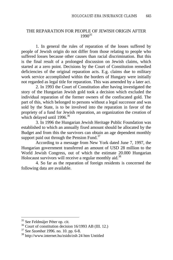## THE REPARATION FOR PEOPLE OF JEWISH ORIGIN AFTER 1990*<sup>35</sup>*

1. In general the rules of reparation of the losses suffered by people of Jewish origin do not differ from those relating to people who suffered losses because other causes than racial discrimination. But this is the final result of a prolonged discussion on Jewish claims, which started at a zero point. Decisions by the Court of Constitution remedied deficiencies of the original reparation acts. E.g. claims due to military work service accomplished within the borders of Hungary were initially not regarded as legal title for reparation. This was amended by a later act.

2. In 1993 the Court of Constitution after having investigated the story of the Hungarian Jewish gold took a decision which excluded the individual reparation of the former owners of the confiscated gold. The part of this, which belonged to persons without a legal successor and was sold by the State, is to be involved into the reparation in favor of the propriety of a fund for Jewish reparation, an organization the creation of which delayed until 1996.<sup>36</sup>

3. In 1996 the Hungarian Jewish Heritage Public Foundation was established to which an annually fixed amount should be allocated by the Budget and from this the survivors can obtain an age dependent monthly support paid out through the Pension Fund. $37$ 

According to a message from New York dated June 7, 1997, the Hungarian government transferred an amount of USD 28 million to the World Jewish Congress, out of which the estimate 20.000 Hungarian Holocaust survivors will receive a regular monthly aid. $38$ 

4. So far as the reparation of foreign residents is concerned the following data are available.

<sup>&</sup>lt;sup>35</sup> See Feldmájer Péter op. cit.

<sup>36</sup> Court of constitution decision 16/1993 AB (III. 12.)

<sup>37</sup> See *Szombat* 1996. no. 10. pp. 6-8.

<sup>38</sup> http://www.internet.hu/zsido/zsh 24 htm Untitled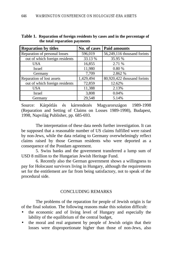| <b>Reparation by titles</b>    | No. of cases | <b>Paid amounts</b>         |
|--------------------------------|--------------|-----------------------------|
| Reparation of personal losses  | 596,019      | 56,249,116 thousand forints |
| out of which foreign residents | 33.13 %      | 35.95 %                     |
| <b>USA</b>                     | 16,855       | 2.71 %                      |
| Israel                         | 11,980       | 0.80%                       |
| Germany                        | 7,709        | 2.862 %                     |
| Reparation of lost assets      | 1,429,494    | 80,920,422 thousand forints |
| out of which foreign residents | 72,859       | 12.62%                      |
| <b>USA</b>                     | 11,388       | 2.13%                       |
| Israel                         | 3,808        | 0.04%                       |
| Germany                        | 29.548       | 5.14%                       |

| Table 1. Reparation of foreign residents by cases and in the percentage of |
|----------------------------------------------------------------------------|
| the total reparation payments                                              |

Source: Kárpótlás és kárrendezés Magyarországon 1989-1998 (Reparation and Setting of Claims on Losses 1989-1998), Budapest, 1998, Napvilág Publisher, pp. 685-693.

The interpretation of these data needs further investigation. It can be supposed that a reasonable number of US claims fulfilled were raised by non-Jews, while the data relating to Germany overwhelmingly reflect claims raised by those German residents who were deported as a consequence of the Postdam agreement.

5. Swiss banks and the government transferred a lump sum of USD 8 million to the Hungarian Jewish Heritage Fund.

6. Recently also the German government shows a willingness to pay for Holocaust survivors living in Hungary, although the requirements set for the entitlement are far from being satisfactory, not to speak of the procedural side.

## CONCLUDING REMARKS

The problems of the reparation for people of Jewish origin is far of the final solution. The following reasons make this solution difficult:

- the economic and of living level of Hungary and especially the lability of the equilibrium of the central budget,
- the moral and real argument by people of Jewish origin that their losses were disproportionate higher than those of non-Jews, also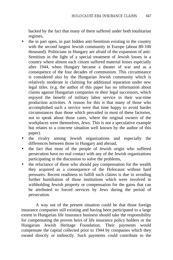backed by the fact that many of them suffered under both totalitarian regimes,

- the in part open, in part hidden anti-Semitism existing in the country with the second largest Jewish community in Europe (about 80-100 thousand). Politicians in Hungary are afraid of the expansion of anti-Semitism in the light of a special treatment of Jewish losses in a country where almost each citizen suffered material losses especially after 1944, when Hungary became a theater of war and as a consequence of the four decades of communism. This circumstance is considered also by the Hungarian Jewish community which is relatively moderate in claiming for additional reparation under new legal titles. (e.g. the author of this paper has no information about claims against Hungarian companies or their legal successors, which enjoyed the benefit of military labor service in their war-time production activities. A reason for this is that many of those who accomplished such a service were that time happy to avoid harder circumstances than those which prevailed in most of these factories, not to speak about those cases, where the original owners of the workplaces were themselves, Jews. This is not a speculative example but relates to a concrete situation well known by the author of this paper).
- the rivalry among Jewish organizations and especially the differences between those in Hungary and abroad,
- the fact that most of the people of Jewish origin who suffered persecution have no real contact with any of the Jewish organizations participating in the discussion to solve the problems,
- the reluctance of those who should pay compensation for the wealth they acquired as a consequence of the Holocaust without hard pressures. Recent readiness to fulfill such claims is due to avoiding further humiliation of those institutions which were involved in withholding Jewish property or compensation for the gains that can be attributed to forced services by Jews during the period of persecution.

A way out of the present situation could be that those foreign insurance companies still existing and having been participated to a large extent in Hungarian life insurance business should take the responsibility for compensating the proven heirs of life insurance policy holders or the Hungarian Jewish Heritage Foundation. Their payments would compensate the capital collected prior to 1944 by companies which they owned directly or indirectly. Such payments could contribute to the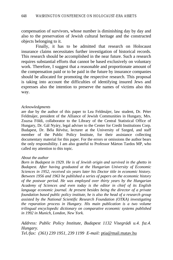compensation of survivors, whose number is diminishing day by day and also to the preservation of Jewish cultural heritage and the constructed objects belonging to it.

Finally, it has to be admitted that research on Holocaust insurance claims necessitates further investigation of historical records. This research should be accomplished in the near future. Such a research requires substantial efforts that cannot be based exclusively on voluntary work. Therefore, I suggest that a reasonable and proportionate amount of the compensation paid or to be paid in the future by insurance companies should be allocated for promoting the respective research. This proposal is taking into account the difficulties of identifying insured Jews and expresses also the intention to preserve the names of victims also this way.

#### *Acknowledgments*

are due by the author of this paper to Lea Feldmájer, law student, Dr. Péter Feldmájer, president of the Alliance of Jewish Communities in Hungary, Mrs. Zsuzsa Földi, collaborator to the Library of the Central Statistical Office of Hungary, Dr. Gál Nyáry, legal adviser to the Center for Credit Institutions Corp. Budapest, Dr. Béla Révész, lecturer at the University of Szeged, and staff member of the Public Policy Institute, for their assistance collecting documentary material for this paper. For the errors or omissions the author bears the only responsibility. I am also grateful to Professor Márton Tardos MP, who called my attention to this topic.

#### *About the author*

*Born in Budapest in 1929. He is of Jewish origin and survived in the ghetto in Budapest. After having graduated at the Hungarian University of Economic Sciences in 1952, received six years later his Doctor title in economic history. Between 1956 and 1963 he published a series of papers on the economic history of the postwar period. He was employed over thirty years by the Hungarian Academy of Sciences and even today is the editor in chief of its English language economic journal. At present besides being the director of a private foundation based public policy institute, he is also the head of a research group assisted by the National Scientific Research Foundation (OTKA) investigating the reparation process in Hungary. His main publication is a two volume trilingual encyclopedic dictionary on comparative economic systems published in 1992 in Munich, London, New York.*

## *Address: Public Policy Institute, Budapest 1132 Visegrádi u.4. fsz.4. Hungary.*

*Tel./fax: (361) 239 1951, 239 1199 E-mail:* ptia@mail.matav.hu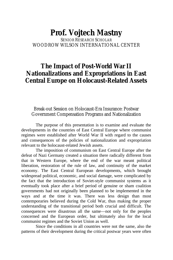### **Prof. Vojtech Mastny** SENIOR RESEARCH SCHOLAR WOODROW WILSON INTERNATIONAL CENTER

## **The Impact of Post-World War II Nationalizations and Expropriations in East Central Europe on Holocaust-Related Assets**

#### Break-out Session on Holocaust-Era Insurance: Postwar Government Compensation Programs and Nationalization

The purpose of this presentation is to examine and evaluate the developments in the countries of East Central Europe where communist regimes were established after World War II with regard to the causes and consequences of the policies of nationalization and expropriation relevant to the holocaust-related Jewish assets.

The imposition of communism on East Central Europe after the defeat of Nazi Germany created a situation there radically different from that in Western Europe, where the end of the war meant political liberation, restoration of the rule of law, and continuity of the market economy. The East Central European developments, which brought widespread political, economic, and social damage, were complicated by the fact that the introduction of Soviet-style communist systems as it eventually took place after a brief period of genuine or sham coalition governments had not originally been planned to be implemented in the ways and at the time it was. There was less design than most contemporaries believed during the Cold War, thus making the proper understanding of the transitional period both crucial and difficult. The consequences were disastrous all the same—not only for the peoples concerned and the European order, but ultimately also for the local communist regimes and the Soviet Union as well.

Since the conditions in all countries were not the same, also the patterns of their development during the critical postwar years were often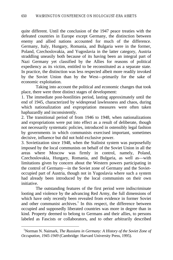quite different. Until the conclusion of the 1947 peace treaties with the defeated countries in Europe except Germany, the distinction between enemy and allied nations accounted for much of the difference. Germany, Italy, Hungary, Romania, and Bulgaria were in the former, Poland, Czechoslovakia, and Yugoslavia in the latter category, Austria straddling uneasily both because of its having been an integral part of Nazi Germany yet classified by the Allies for reasons of political expediency as its victim, entitled to be reconstituted as a separate state. In practice, the distinction was less respected albeit more readily invoked by the Soviet Union than by the West—primarily for the sake of economic exploitation.

Taking into account the political and economic changes that took place, there were three distinct stages of development:

1. The immediate post-hostilities period, lasting approximately until the end of 1945, characterized by widespread lawlessness and chaos, during which nationalization and expropriation measures were often taken haphazardly and inconsistently.

2. The transitional period of from 1946 to 1948, when nationalizations and expropriations were put into effect as a result of deliberate, though not necessarily systematic policies, introduced in ostensibly legal fashion by governments in which communists exercised important, sometimes decisive, influence but did not hold exclusive power.

3. Sovietization since 1948, when the Stalinist system was purposefully imposed by the local communists on behalf of the Soviet Union in all the areas where Moscow was firmly in control, namely, Poland, Czechoslovakia, Hungary, Romania, and Bulgaria, as well as—with limitations given by concern about the Western powers participating in the control of Germany—in the Soviet zone of Germany and the Sovietoccupied part of Austria, though not in Yugoslavia where such a system had already been introduced by the local communists on their own initiative.

The outstanding features of the first period were indiscriminate looting and violence by the advancing Red Army, the full dimensions of which have only recently been revealed from evidence in former Soviet and other communist archives.<sup>1</sup> In this respect, the difference between occupied and supposedly liberated countries was more in degree than in kind. Property deemed to belong to Germans and their allies, to persons labeled as Fascists or collaborators, and to other arbitrarily described

<sup>1</sup>Norman N. Naimark, *The Russians in Germany: A History of the Soviet Zone of Occupation, 1945-1949* (Cambridge: Harvard University Press, 1995).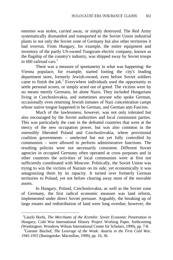enemies was stolen, carried away, or simply destroyed. The Red Army systematically dismantled and transported to the Soviet Union industrial plants in not only the Soviet zone of Germany but also other territories it had overrun. From Hungary, for example, the entire equipment and inventory of the partly US-owned Tungsram electric company, known as the flagship of the country's industry, was shipped away by Soviet troops in 600 railroad cars  $2^2$ 

There was a measure of spontaneity in what was happening: the Vienna populace, for example, started looting the city's leading department store, formerly Jewish-owned, even before Soviet soldiers came to finish the job. $3$  Everywhere individuals used the opportunity to settle personal scores, or simply acted out of greed. The victims were by no means merely Germans, let alone Nazis. They included Hungarians living in Czechoslovakia, and sometimes anyone who spoke German, occasionally even returning Jewish inmates of Nazi concentration camps whose native tongue happened to be German, and German anti-Fascists.

Much of the lawlessness, however, was not only tolerated but also encouraged by the Soviet authorities and local communist parties. This was particularly the case in the defeated countries that were at the mercy of the new occupation power, but was also common in the ostensibly liberated Poland and Czechoslovakia, where provisional coalition governments – unelected but not yet fully controlled by communists – were allowed to perform administrative functions. The resulting policies were not necessarily consistent. Different Soviet agencies in occupied Germany often operated at cross purposes and in other countries the activities of local communists were at first not sufficiently coordinated with Moscow. Politically, the Soviet Union was trying to win the victims of Nazism on its side, yet economically it was antagonizing them by its rapacity. It turned over formerly German territories to Poland, yet not before clearing away most of the movable assets.

In Hungary, Poland, Czechoslovakia, as well as the Soviet zone of Germany, the first radical economic measure was land reform, implemented under direct Soviet pressure. Arguably, the breaking up of large estates and redistribution of land were long overdue; however, the

<sup>2</sup>László Borhi, *The Merchants of the Kremlin: Soviet Economic Penetration in Hungary*, Cold War International History Project Working Paper, forthcoming (Washington: Woodrow Wilson International Center for Scholars, 1999), pp. 7-8.

<sup>3</sup>Guenter Bischof, *The Leverage of the Weak: Austria in the First Cold War, 1945-1955* (Basingstoke: Macmillan, 1999), pp. 16, 36.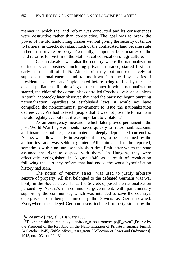manner in which the land reform was conducted and its consequences were destructive rather than constructive. The goal was to break the power of the old landowning classes without giving the security of tenure to farmers; in Czechoslovakia, much of the confiscated land became state rather than private property. Eventually, temporary beneficiaries of the land reforms fell victim to the Stalinist collectivization of agriculture.

Czechoslovakia was also the country where the nationalization of industry and business, including private insurance, started first—as early as the fall of 1945. Aimed primarily but not exclusively at supposed national enemies and traitors, it was introduced by a series of presidential decrees, and implemented before being ratified by the later elected parliament. Reminiscing on the manner in which nationalization started, the chief of the communist-controlled Czechoslovak labor unions Antonín Zápotocký later observed that "had the party not begun pursuing nationalization regardless of established laws, it would not have compelled the noncommunist government to issue the nationalization decrees . . . . We had to teach people that it was not possible to maintain the old legality  $\dots$  but that it was important to violate it."<sup>4</sup>

As an emergency measure—which later proved permanent—the post-World War II governments moved quickly to freeze bank accounts and insurance policies, denominated in deeply depreciated currencies. Access was allowed only in exceptional cases, to be determined by the authorities, and was seldom granted. All claims had to be reported, sometimes within an unreasonably short time limit, after which the state assumed the right to dispose with them.<sup>5</sup> In Hungary, they were effectively extinguished in August 1946 as a result of revaluation following the currency reform that had ended the worst hyperinflation history had seen.

The notion of "enemy assets" was used to justify arbitrary seizure of property. All that belonged to the defeated Germans was war booty in the Soviet view. Hence the Soviets opposed the nationalization pursued by Austria's non-communist government, with parliamentary support by the communists, which was intended to save the country's enterprises from being claimed by the Soviets as German-owned. Everywhere the alleged German assets included property stolen by the

<sup>4</sup>*Rudé právo* [Prague], 31 January 1953.

<sup>&</sup>lt;sup>5</sup>"Dekret presidenta republiky o znárodn\_ní soukromých pojiš\_oven" [Decree by the President of the Republic on the Nationalization of Private Insurance Firms], 24 October 1945, *Sbírka zákon\_ a na\_ízení* [Collection of Laws and Ordinances], 1945, no. 103, pp. 224-31.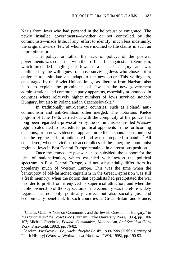Nazis from Jews who had perished in the holocaust or emigrated. The newly installed governments—whether or not controlled by the communists—made little, if any, effort to identify, much less indemnify, the original owners, few of whom were inclined to file claims in such an unpropitious time.

The policy, or rather the lack of policy, of the postwar governments was consistent with their official line against anti-Semitism, which precluded singling out Jews as a special category, and was facilitated by the willingness of those surviving Jews who chose not to emigrate to assimilate and adapt to the new order. This willingness, encouraged by the Soviet Union's image as liberator from Nazism, also helps to explain the prominence of Jews in the new government administrations and communist party apparatus, especially pronounced in countries where relatively higher numbers of Jews survived, notably Hungary, but also in Poland and in Czechoslovakia.<sup>6</sup>

In traditionally anti-Semitic countries, such as Poland, anticommunism and anti-Semitism often merged. The notorious Kielce pogrom of June 1946, carried out with the complicity of the police, has long been regarded a provocation by the communist-controlled Warsaw regime calculated to discredit its political opponents in the forthcoming elections; from new evidence it appears more like a spontaneous outburst that the regime had not anticipated and was unprepared to handle.<sup>7</sup> All considered, whether victims or accomplices of the emerging communist regimes, Jews in East Central Europe remained in a precarious position.

Once the immediate postwar chaos subsided, the support for the idea of nationalization, which extended wide across the political spectrum in East Central Europe, did not substantially differ from its popularity much of Western Europe. This was the time when the bankruptcy of old-fashioned capitalism in the Great Depression was still a fresh memory, when the notion that capitalists had precipitated the war in order to profit from it enjoyed its superficial attraction, and when the public ownership of the key sectors of the economy was therefore widely regarded as not only politically correct but also socially just and economically beneficial. In such countries as Great Britain and France,

<sup>&</sup>lt;sup>6</sup>Charles Gati, "A Note on Communists and the Jewish Question in Hungary," in his *Hungary and the Soviet Bloc* (Durham: Duke University Press, 1986), pp. 100- 107; Michael Checinski, *Poland: Communism, Nationalism, Anti-Semitism* (New York: Karz-Cohl, 1982), pp. 76-82.

<sup>7</sup>Andrzej Paczkowski, *Pó\_ wieku dziejów Polski, 1939-1989* [Half a Century of Polish History] (Warsaw: Wydawnictwo Naukowe PWN, 1998), pp. 190-93.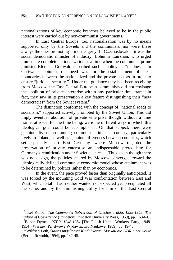nationalizations of key economic branches believed to be in the public interest were carried out by non-communist governments.

In East Central Europe, too, nationalization was by no means supported only by the Soviets and the communists, nor were these always the ones promoting it most eagerly. In Czechoslovakia, it was the social democratic minister of industry, Bohumír Lau šman, who urged immediate complete nationalization at a time when the communist prime minister Klement Gottwald described such a policy as "madness." In Gottwald's opinion, the need was for the establishment of clear boundaries between the nationalized and the private sectors in order to ensure "juridical security."<sup>8</sup> Under the guidance they had been receiving from Moscow, the East Central European communists did not envisage the abolition of private enterprise within any particular time frame; in fact, they saw in its preservation a key feature distinguishing their "new democracies" from the Soviet system.<sup>9</sup>

The distinction conformed with the concept of "national roads to socialism," supported actively promoted by the Soviet Union. This did imply eventual abolition of private enterprise though without a time frame; at issue, for the time being, were the different ways in which this ideological goal could be accomplished. On that subject, there were genuine discussions among communists in each country, particularly lively in Poland, as well as genuine differences between countries, which set especially apart East Germany—where Moscow regarded the preservation of private enterprise an indispensable prerequisite for Germany's reunification under Soviet auspices.<sup>10</sup> Thus, even though there was no design, the policies steered by Moscow converged toward the ideologically defined communist economic model whose attainment was to be determined by politics rather than by economics.

In the event, the pace proved faster than originally anticipated. It was forced by the mounting Cold War confrontation between East and West, which Stalin had neither wanted not expected yet precipitated all the same, and by the diminishing utility for him of the East Central

<sup>8</sup> Josef Korbel, *The Communist Subversion of Czechoslovakia, 1938-1948: The Failure of Coexistence* (Princeton: Princeton University Press, 1959), pp. 163-64.

<sup>9</sup>Benon Dymek, *PZPR, 1948-1954* [The Polish United Workers' Party, 1948- 1954] (Warsaw: Pa\_stwowe Wydawnictwo Naukowe, 1989), pp. 19-45.

<sup>10</sup>Wilfried Loth, *Stalins ungeliebtes Kind: Warum Moskau die DDR nicht wollte* (Berlin: Rowohlt, 1994), pp. 142-48.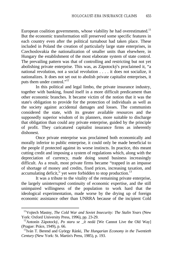European coalition governments, whose viability he had overestimated.<sup>11</sup> But the economic transformation still preserved some specific features in each country even after the political turnabout had taken place. These included in Poland the creation of particularly large state enterprises, in Czechoslovakia the nationalization of smaller units than elsewhere, in Hungary the establishment of the most elaborate system of state control. The prevailing pattern was that of controlling and restricting but not yet abolishing private enterprise. This was, as Zápotocký's proclaimed it, "a national revolution, not a social revolution . . . . it does not socialize, it nationalizes. It does not set out to abolish private capitalist enterprises, it puts them under control."<sup>12</sup>

In this political and legal limbo, the private insurance industry, together with banking, found itself in a more difficult predicament than other economic branches. It became victim of the notion that it was the state's obligation to provide for the protection of individuals as well as the society against accidental damages and losses. The communists considered the state, with its greater available resources and the supposedly superior wisdom of its planners, more suitable to discharge that obligation than could any private enterprise, guided by the principle of profit. They caricatured capitalist insurance firms as inherently dishonest.

Once private enterprise was proclaimed both economically and morally inferior to public enterprise, it could only be made beneficial to the people if protected against its worse instincts. In practice, this meant cutting credit and imposing a system of regulations which, along with the depreciation of currency, made doing sound business increasingly difficult. As a result, most private firms became "trapped in an impasse of shortage of money and credits, fixed prices, increasing taxation, and accumulating deficit," yet were forbidden to stop production.<sup>13</sup>

It was a tribute to the vitality of the remaining private enterprise, the largely uninterrupted continuity of economic expertise, and the still unimpaired willingness of the population to work hard that the ideological experimentation, made worse by the drying up of foreign economic assistance other than UNRRA because of the incipient Cold

<sup>11</sup>Vojtech Mastny, *The Cold War and Soviet Insecurity: The Stalin Years* (New York: Oxford University Press, 1996), pp. 23-29.

<sup>12</sup>Antonín Zápotocký, *Po staru se \_ít nedá* [We Cannot Live the Old Way] (Prague: Práce, 1949), p. 66.

<sup>13</sup>Iván T. Berend and György Ránki, *The Hungarian Economy in the Twentieth Century* (New York: St. Martin's Press, 1985), p. 193.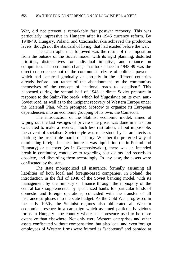War, did not prevent a remarkably fast postwar recovery. This was particularly impressive in Hungary after its 1946 currency reform. By 1948-49, Hungary, Poland, and Czechoslovakia achieved the production levels, though not the standard of living, that had existed before the war.

The catastrophe that followed was the result of the imposition from the outside of the Soviet model, with its rigid planning, distorted priorities, disincentives for individual initiative, and reliance on compulsion. The economic change that took place in 1948-49 was the direct consequence not of the communist seizure of political power which had occurred gradually or abruptly in the different countries already before—but rather of the abandonment by the communists themselves of the concept of "national roads to socialism." This happened during the second half of 1948 at direct Soviet pressure in response to the Stalin-Tito break, which led Yugoslavia on its own, anti-Soviet road, as well as to the incipient recovery of Western Europe under the Marshall Plan, which prompted Moscow to organize its European dependencies into an economic grouping of its own, the Comecon.

The introduction of the Stalinist economic model, aimed at wiping out the last vestiges of private enterprise, was done in a fashion calculated to make a reversal, much less restitution, all but impossible; the advent of socialism Soviet-style was understood by its architects as marking the irresistible march of history. Whether the preferred way of eliminating foreign business interests was liquidation (as in Poland and Hungary) or takeover (as in Czechoslovakia), there was an intended break in continuity, conducive to regarding past claims and records as obsolete, and discarding them accordingly. In any case, the assets were confiscated by the state.

The state monopolized all insurance, formally assuming all liabilities of both local and foreign-based companies. In Poland, the introduction in the fall of 1948 of the Soviet banking model, with its management by the ministry of finance through the monopoly of the central bank supplemented by specialized banks for particular kinds of domestic and foreign operations, coincided with the transfer of all insurance surpluses into the state budget. As the Cold War progressed in the early 1950s, the Stalinist regimes also obliterated all Western economic presence in a campaign which assumed particularly vicious forms in Hungary—the country where such presence used to be more extensive than elsewhere. Not only were Western enterprises and other assets confiscated without compensation, but also local and even foreign employees of Western firms were framed as "saboteurs" and paraded at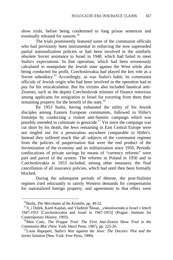show trials, before being condemned to long prison sentences and eventually released for ransom.<sup>14</sup>

The trials prominently featured some of the communist officials who had previously been instrumental in enforcing the now superseded partial nationalization policies or had been involved in the similarly obsolete Soviet assistance to Israel in 1948, which had failed to meet Stalin's expectations. In that operation, which had been erroneously calculated to manipulate the Jewish state against the West while also being conducted for profit, Czechoslovakia had played the key role as a Soviet subsidiary.<sup>15</sup> Accordingly, as was Stalin's habit, its communist officials of Jewish origin who had been involved in the operation had to pay for his miscalculation. But his victims also included fanatical anti-Zionists, such as the deputy Czechoslovak minister of finance notorious among applicants for emigration to Israel for extorting from them their remaining property for the benefit of the state.<sup>16</sup>

By 1953 Stalin, having exhausted the utility of his Jewish disciples among Eastern European communists, followed in Hitler's footsteps by conducting a violent anti-Semitic campaign which was possibly intended to culminate in genocide.<sup>17</sup> Yet since the campaign was cut short by his death, the Jews remaining in East Central Europe were not singled out for a persecution anywhere comparable to Hitler's. Instead they suffered much like all subjects of the communist regimes from the policies of pauperization that were the end product of the Sovietization of the economy and its militarization since 1950. Periodic confiscations of private savings by means of "currency reforms" were part and parcel of the system. The reforms in Poland in 1950 and in Czechoslovakia in 1953 included, among other measures, the final cancellation of all insurance policies, which had until then been formally blocked.

During the subsequent periods of détente, the post-Stalinist regimes tried reluctantly to satisfy Western demands for compensation for nationalized foreign property, and agreements to that effect were

<sup>14</sup>Borhi, *The Merchants of the Kremlin*, pp. 49-52.

<sup>15</sup>Ji\_í Dufek, Karel Kaplan, and Vladimír Šlosar, *\_eskoslovensko a Israel v letech 1947-1953* [Czechoslovakia and Israel in 1947-1953] (Prague: Institute for Contemporary History, 1993).

<sup>16</sup>Meir Cotic, *The Prague Trial: The First Anti-Zionist Show Trial in the Communist Bloc* (New York: Herzl Press, 1987), pp. 225-26.

<sup>17</sup>Louis Rapoport, *Stalin's War against the Jews: The Doctors' Plot and the Soviet Solution* (New York: Free Press, 1990).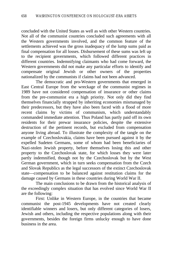concluded with the United States as well as with other Western countries. Not all of the communist countries concluded such agreements with all the Western governments involved, and the common feature of the settlements achieved was the gross inadequacy of the lump sums paid as final compensation for all losses. Disbursement of these sums was left up to the recipient governments, which followed different practices in different countries. Indemnifying claimants who had come forward, the Western governments did not make any particular efforts to identify and compensate original Jewish or other owners of the properties nationalized by the communists if claims had not been advanced.

The democratic and pro-Western governments that emerged in East Central Europe from the wreckage of the communist regimes in 1989 have not considered compensation of insurance or other claims from the pre-communist era a high priority. Not only did they find themselves financially strapped by inheriting economies mismanaged by their predecessors, but they have also been faced with a flood of more recent claims by victims of communism, which understandably commanded immediate attention. Thus Poland has partly paid off its own residents for their prewar insurance policies, despite the extensive destruction of the pertinent records, but excluded from compensation anyone living abroad. To illustrate the complexity of the tangle on the example of Czechoslovakia, claims have been pursued against it by the expelled Sudeten Germans, some of whom had been beneficiaries of Nazi-stolen Jewish property, before themselves losing this and other property to the Czechoslovak state, for which losses they were later partly indemnified, though not by the Czechoslovak but by the West German government, which in turn seeks compensation from the Czech and Slovak Republics as the legal successors of the extinct Czechoslovak state—compensation to be balanced against restitution claims for the damage caused by Germans in these countries during World War II.

The main conclusions to be drawn from the historical analysis of the exceedingly complex situation that has evolved since World War II are the following:

First: Unlike in Western Europe, in the countries that became communist the post-1945 developments have not created clearly identifiable winners and losers, but only different categories of losers, Jewish and others, including the respective populations along with their governments, besides the foreign firms unlucky enough to have done business in the area.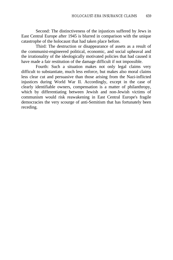Second: The distinctiveness of the injustices suffered by Jews in East Central Europe after 1945 is blurred in comparison with the unique catastrophe of the holocaust that had taken place before.

Third: The destruction or disappearance of assets as a result of the communist-engineered political, economic, and social upheaval and the irrationality of the ideologically motivated policies that had caused it have made a fair restitution of the damage difficult if not impossible.

Fourth: Such a situation makes not only legal claims very difficult to substantiate, much less enforce, but makes also moral claims less clear cut and persuasive than those arising from the Nazi-inflicted injustices during World War II. Accordingly, except in the case of clearly identifiable owners, compensation is a matter of philanthropy, which by differentiating between Jewish and non-Jewish victims of communism would risk reawakening in East Central Europe's fragile democracies the very scourge of anti-Semitism that has fortunately been receding.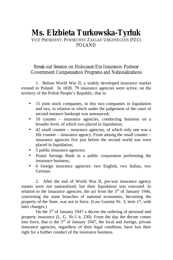# **Ms. Elzbieta Turkowska-Tyrluk**

### VICE PRESIDENT, POWSECHNY ZAKLAD UBEZPIECZEN (PZU) POLAND

#### Break-out Session on Holocaust-Era Insurance: Postwar Government Compensation Programs and Nationalizations

1. Before World War II, a widely developed insurance market existed in Poland. In 1839, 79 insurance agencies were active, on the territory of the Polish People's Republic, that is;

- 15 joint stock companies, in this two companies in liquidation and two, in relation to which under the judgement of the court of second instance bankrupt was announced;
- 10 counter insurance agencies, conducting business on a broader level, of which two placed in liquidation;
- 42 small counter insurance agencies, of which only one was a life counter – insurance agency. From among the small counter – insurance agencies five just before the second world war were placed in liquidation;
- 5 public insurance agencies;
- Postal Savings Bank as a public corporation performing the insurance business;
- 6 foreign insurance agencies: two English, two Italian, two German.

2. After the end of World War II, pre-war insurance agency estates were not nationalized, but their liquidation was executed. In relation to the insurance agencies, the act from the  $3<sup>rd</sup>$  of January 1946, concerning the main branches of national economies, becoming the property of the State, was not in force. (Law Gazette Nr. 3, item 17, with later changes.)

On the 3<sup>rd</sup> of January 1947 a decree the ordering of personal and property insurance (L. G. Nr.5 it. 230). From the day the decree comes into force, that is the  $3<sup>rd</sup>$  of January 1947, the local and foreign, private insurance agencies, regardless of their legal condition, have lost their right for a further conduct of the insurance business.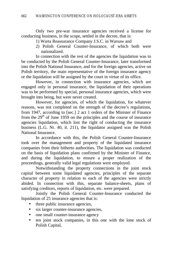Only two pre-war insurance agencies received a license for conducting business, in the scope, settled in the decree, that is:

- 1) Warta Reassurance Company J.S.C. in Warsaw and
- 2) Polish General Counter-Insurance, of which both were nationalized.

In connection with the rest of the agencies the liquidation was to be conducted by the Polish General Counter-Insurance, later transformed into the Polish National Insurance, and for the foreign agencies, active on Polish territory, the main representative of the foreign insurance agency or the liquidation will be assigned by the court in virtue of its office.

However, in connection with insurance agencies, which are engaged only in personal insurance, the liquidation of their operations was to be performed by special, personal insurance agencies, which were brought into being, but were never created.

However, for agencies, of which the liquidation, for whatever reasons, was not completed on the strength of the decree's regulations, from 1947, according to [sec.] 2 act 1 orders of the Minister of Finance from the  $29<sup>th</sup>$  of June 1959 on the principles and the course of insurance agencies liquidation, which lost the right of conducting the insurance business (L.G. Nr. 40, it. 211), the liquidator assigned was the Polish National Insurance.

In accordance with this, the Polish General Counter-Insurance took over the management and property of the liquidated insurance companies from their hitherto authorities. The liquidation was conducted on the basis of liquidation plans confirmed by the Minister of Finance, and during the liquidation, to ensure a proper realization of the proceedings, generally valid legal regulations were employed.

Notwithstanding the property connections in the joint stock capital between some liquidated agencies, principles of the separate character of property in relation to each of the agencies were strictly abided. In connection with this, separate balance-sheets, plans of satisfying creditors, reports of liquidation, etc. were prepared.

Jointly the Polish General Counter-Insurance conducted the liquidation of 25 insurance agencies that is:

- three public insurance agencies,
- six larger counter-insurance agencies,
- one small counter-insurance agency
- ten joint stock companies, in this one with the lone stock of Polish Capital,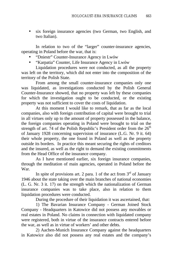• six foreign insurance agencies (two German, two English, and two Italian).

In relation to two of the "larger" counter-insurance agencies, operating in Poland before the war, that is:

- "Dniestr" Counter-Insurance Agency in Lwów
- "Karpatia" Counter, Life Insurance Agency in Lwów

Liquidation procedures were not conducted, as all the property was left on the territory, which did not enter into the composition of the territory of the Polish State.

From among the small counter-insurance companies only one was liquidated, as investigations conducted by the Polish General Counter-Insurance showed, that no property was left by these companies for which the investigation ought to be conducted, or the existing property was not sufficient to cover the costs of liquidation.

At this moment I would like to remark, that as far as the local companies, also with foreign contribution of capital were brought to trial in all virtues only up to the amount of property possessed in the balance, the foreign companies operating in Poland were brought to trial on the strength of art. 74 of the Polish Republic's President order from the  $26<sup>th</sup>$ of January 1928 concerning supervision of insurance (L.G. Nr. 9 it. 64) their whole property, the one found in Poland as well as the property outside its borders. In practice this meant securing the rights of creditors and the insured, as well as the right to demand the existing commitments from the Head Office of the insurance company.

As I have mentioned earlier, six foreign insurance companies, through the meditation of main agencies, operated in Poland before the War.

In spite of provisions art. 2 para. 1 of the act from  $3<sup>rd</sup>$  of January 1946 about the state taking over the main branches of national economies (L. G. Nr. 3 it. 17) on the strength which the nationalization of German insurance companies was to take place, also in relation to them liquidation procedures were conducted.

During the procedure of their liquidation it was ascertained, that:

1) The Bavarian Insurance Company - German Joined Stock Company - Headquarters in Katowice did not possess any movables or real estates in Poland. No claims in connection with liquidated company were registered, both in virtue of the insurance contracts entered before the war, as well as in virtue of workers' and other debts.

2) Aachen-Munich Insurance Company against the headquarters in Katowice also did not possess any real estates and the company's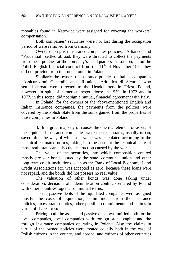movables found in Katowice were assigned for covering the workers' compensation.

Both companies' securities were not lost during the occupation period of were removed from Germany.

Owner of English insurance companies policies: "Alliance" and "Prudential" settled abroad, they were directed to collect the payments from these policies at the company's headquarters in London, as on the Polish-English financial contract from the  $11<sup>th</sup>$  of November 1954 they did not provide from the funds found in Poland.

Similarly the owners of insurance policies of Italian companies "Assicurazioni Generali" and "Riuniona Adriatica di Sicurta" who settled abroad were directed to the Headquarters in Triest, Poland, however, in spite of numerous negotiations: in 1959, in 1972 and in 1977, in this scope, did not sign a mutual, financial agreement with Italy.

In Poland, for the owners of the above-mentioned English and Italian insurance companies, the payments from the policies were covered by the Polish State from the sums gained from the properties of those companies in Poland.

3. In a great majority of causes the one real element of assets of the liquidated insurance companies were the real estates, usually urban, saved after the war, of which the value was calculated according to the technical estimated norms, taking into the account the technical state of those real estates and also the destruction caused by the war.

The value of the securities, into which composition entered mostly pre-war bonds issued by the state, communal union and other long term credit institutions, such as the Bank of Local Economy, Land Credit Associations etc. was accepted as zero, because these loans were not repaid, and the bonds did not possess no real value.

The valuation of other bonds was done taking under consideration: decisions of indemnification contracts entered by Poland with other countries together on mutual terms.

To the passive debts of the liquidated companies were assigned mostly: the costs of liquidation, commitments from the insurance policies, taxes, stamp duties, other possible commitments and claims in virtue of shares or stocks.

Pricing both the assets and passive debts was unified both for the local companies, local companies with foreign stock capital and the foreign insurance companies operating in Poland. Also the claims in virtue of the owned policies were treated equally both in the case of Polish citizens in the country and abroad, and citizens of other countries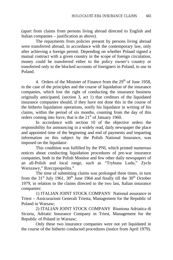(apart from claims from persons living abroad directed to English and Italian companies – justification as above).

The repayments from policies present by persons living abroad were transferred abroad, in accordance with the contemporary law, only after achieving a foreign permit. Depending on whether Poland signed a mutual contract with a given country in the scope of foreign circulation, money could be transferred either to the policy owner's country or transferred only to the blocked accounts of foreigners in Poland, to use in Poland.

4. Orders of the Minister of Finance from the  $29<sup>th</sup>$  of June 1958, in the case of the principles and the course of liquidation of the insurance companies, which lost the right of conducting the insurance business originally anticipated, (section 3, act 1) that creditors of the liquidated insurance companies should, if they have not done this in the course of the hitherto liquidation operations, notify his liquidator in writing of his claims, within the period of six months, counting from the day of this orders coming into force, that is the  $21<sup>st</sup>$  of January 1960.

In accordance with section 10 of the objective orders the responsibility for announcing in a widely read, daily newspaper the place and appointed time of the beginning and end of payments and imparting information on this subject by the Polish National Insurance, was imposed on the liquidator.

This condition was fulfilled by the PNI, which printed numerous notices about conducting liquidation procedures of pre-war insurance companies, both in the Polish Monitor and few other daily newspapers of an all-Polish and local range, such as "Trybuna Ludu," Zycle Warszawy," Rzeczpospolita."

The time of submitting claims was prolonged three times, in turn from the  $31<sup>st</sup>$  July 1961,  $30<sup>th</sup>$  June 1964 and finally till the  $30<sup>th</sup>$  October 1979, in relation to the claims directed to the two last, Italian insurance companies:

1) ITALIAN JOINT STOCK COMPANY National assurance in Triest – Assicurazioni Generali Triesta, Management for the Republic of Poland in Warsaw;

2) ITALIAN JOINT STOCK COMPANY Riuniona Adriatica di Sicurta, Adriatic Insurance Company in Triest, Management for the Republic of Poland in Warsaw;

Only these two insurance companies were not yet liquidated in the course of the hitherto conducted procedures (notice from April 1979).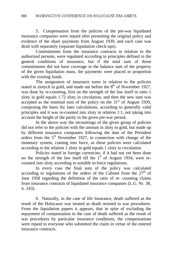5. Compensation from the policies of the pre-war liquidated insurance companies were repaid after presenting the original policy and evidence of the share payments from August 1939, and each case was dealt with separately (separate liquidation check-ups).

Commitments from the insurance contracts in relation to the authorized persons, were regulated according to principles defined in the general conditions of insurance, but if the total sum of those commitments did not have coverage in the balance sum of the property of the given liquidation mass, the payments were placed in proportion with the existing funds.

The assignation of insurance sums in relation to the policies stated in zlotych in gold, and made out before the  $8<sup>th</sup>$  of November 1927, was done by re-counting, first on the strength of the law itself in ratio 1 zloty in gold equals 1.72 zloty in circulation, and then the new sum was accepted as the nominal sum of the policy on the  $31<sup>st</sup>$  of August 1939, composing the basis for later calculations, according to generally valid principles and it was re-counted into zloty in relation 1:1, not taking into account the height of the parity in the given pre-war period.

In the above way the recountings of the given group of policies did not refer to the policies with the amount in zloty in gold, but made up by different insurance companies following the date of the President orders from the 5<sup>th</sup> November 1927, in connection with change of the monetary system, coming into force, as these policies were calculated according to the relation 1 zloty in gold equals 1 zloty in circulation.

Policies stated in foreign currencies, if it had not yet been done on the strength of the law itself till the  $1<sup>st</sup>$  of August 1934, were recounted into zloty according to suitable in-force regulations.

In every case the final sum of the policy was calculated according to regulations of the orders of the Cabinet from the  $27<sup>th</sup>$  of June 1958 regarding the definition of the ratio of re- counting claims from insurance contracts of liquidated insurance companies (L.G. Nr. 38, it. 243).

6. Naturally, in the case of life Insurance, death suffered as the result of the Holocaust was treated as death resisted to war procedures. From the liquidation papers it appears, that in spite of excluding the repayment of compensation in the case of death suffered as the result of war procedures by particular insurance conditions, the compensations were repaid to everyone who submitted the claim in virtue of the entered insurance contracts.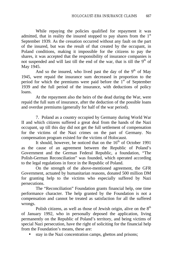While repaying the policies qualified for repayment it was admitted, that in reality the insured stopped to pay shares from the  $1<sup>st</sup>$ September 1939. As the cessation occurred without any fault on the part of the insured, but was the result of that created by the occupant, in Poland conditions, making it impossible for the citizens to pay the shares, it was accepted that the responsibility of insurance companies is not suspended and will last till the end of the war, that is till the  $9<sup>th</sup>$  of May 1945.

And so the insured, who lived past the day of the  $9<sup>th</sup>$  of May 1945, were repaid the insurance sum decreased in proportion to the period for which the premiums were paid before the  $1<sup>st</sup>$  of September 1939 and the full period of the insurance, with deductions of policy loans.

At the repayment also the heirs of the dead during the War, were repaid the full sum of insurance, after the deduction of the possible loans and overdue premiums (generally for half of the war period).

7. Poland as a country occupied by Germany during World War II and which citizens suffered a great deal from the hands of the Nazi occupant, up till this day did not get the full settlement of compensation for the victims of the Nazi crimes on the part of Germany. No compensation program existed for the victims of Holocaust.

It should, however, be noticed that on the  $16<sup>th</sup>$  of October 1991 as the cause of an agreement between the Republic of Poland's Government and the German Federal Republic, a foundation, "The Polish-German Reconciliation" was founded, which operated according to the legal regulations in force in the Republic of Poland.

On the strength of the above-mentioned agreement, the GFR Government, actuated by humanitarian reasons, donated 500 million DM for granting help to the victims who especially suffered by Nazi persecutions.

The "Reconciliation" Foundation grants financial help, one time performance character. The help granted by the Foundation is not a compensation and cannot be treated as satisfaction for all the suffered wrongs.

Polish citizens, as well as those of Jewish origin, alive on the  $8<sup>th</sup>$ of January 1992, who in personally deposed the application, living permanently on the Republic of Poland's territory, and being victims of special Nazi persecution, have the right of soliciting for the financial help from the Foundation's means, these are:

stay in the Nazi concentration camps, ghettos and prisons;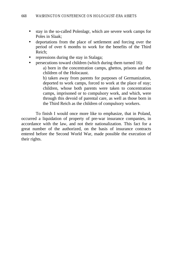- stay in the so-called Polenlagr, which are severe work camps for Poles in Slaak;
- deportations from the place of settlement and forcing over the period of over 6 months to work for the benefits of the Third Reich;
- repressions during the stay in Stalaga;
- persecutions toward children (which during them turned 16):

a) born in the concentration camps, ghettos, prisons and the children of the Holocaust.

b) taken away from parents for purposes of Germanization, deported to work camps, forced to work at the place of stay; children, whose both parents were taken to concentration camps, imprisoned or to compulsory work, and which, were through this devoid of parental care, as well as those born in the Third Reich as the children of compulsory workers.

To finish I would once more like to emphasize, that in Poland, occurred a liquidation of property of pre-war insurance companies, in accordance with the law, and not their nationalization. This fact for a great number of the authorized, on the basis of insurance contracts entered before the Second World War, made possible the execution of their rights.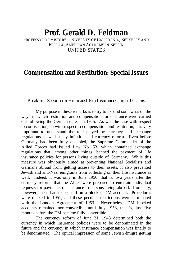## **Prof. Gerald D. Feldman**

PROFESSOR OF HISTORY, UNIVERSITY OF CALIFORNIA, BERKELEY AND FELLOW, AMERICAN ACADEMY IN BERLIN UNITED STATES

### **Compensation and Restitution: Special Issues**

Break-out Session on Holocaust-Era Insurance: Unpaid Claims

My purpose in these remarks is to try to expand somewhat on the ways in which restitution and compensation for insurance were carried out following the German defeat in 1945. As was the case with respect to confiscation, so with respect to compensation and restitution, it is very important to understand the role played by currency and exchange regulations as well as by inflation and currency reform. Even before Germany had been fully occupied, the Supreme Commander of the Allied Forces had issued Law No. 53, which contained exchange regulations that, among other things, banned the payment of life insurance policies for persons living outside of Germany. While this measure was obviously aimed at preventing National Socialists and Germans abroad from getting access to their assets, it also prevented Jewish and anti-Nazi emigrants from collecting on their life insurance as well. Indeed, it was only in June 1950, that is, two years after the currency reform, that the Allies were prepared to entertain individual requests for payments of insurance to persons living abroad. Ironically, however, these had to be paid on a blocked DM account. Procedures were relaxed in 1951, and these peculiar restrictions were terminated with the London Agreement of 1953. Nevertheless, DM blocked accounts remained non-convertible until July 1958, that is, just five months before the DM became fully convertible.

The currency reform of June 21, 1948 determined both the currency in which insurance policies were to be denominated in the future and the currency in which insurance compensation was finally to be denominated. The optical impression of some Jewish émigré getting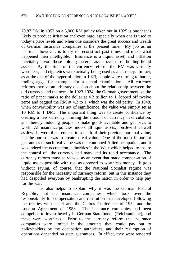79.87 DM in 1957 on a 5,000 RM policy taken out in 1925 is one that is likely to produce irritation and even rage, especially when one is used to today's price levels and when one considers the great success and wealth of German insurance companies at the present time. My job as an historian, however, is to try to reconstruct past times and make what happened then intelligible. Insurance is a liquid asset, and inflation inevitably favors those holding material assets over those holding liquid assets. By the time of the currency reform, the RM was virtually worthless, and cigarettes were actually being used as a currency. In fact, as at the end of the hyperinflation in 1923, people were turning to barter, trading eggs, for example, for a dental examination. All currency reforms involve an arbitrary decision about the relationship between the old currency and the new. In 1923-1924, the German government set the ratio of paper marks to the dollar at 4.2 trillion to 1, lopped off twelve zeros and pegged the RM at 4.2 to 1, which was the old parity. In 1948, when convertibility was not of significance, the value was simply set at 10 RM to 1 DM. The important thing was to create confidence by creating a new currency, limiting the amount of currency in circulation, and thereby inducing people to make goods available and get back to work. All insurance policies, indeed all liquid assets, non-Jewish as well as Jewish, were thus reduced to a tenth of their previous nominal value, but the purpose was to create a real value. One of the most important guarantees of such real value was the continued Allied occupation, and it was indeed the occupation authorities in the West which helped to insure the control of the currency and mandated its rapid acceptance. The currency reform must be viewed as an event that made compensation of liquid assets possible with real as opposed to worthless money. It goes without saying, of course, that the National Socialist regime was responsible for the necessity of currency reform, but in this instance they had despoiled everyone by bankrupting the nation in order to help pay for the war.

This also helps to explain why it was the German Federal Republic, not the insurance companies, which took over the responsibility for compensation and restitution that developed following the treaties with Israel and the Claims Conference of 1952 and the London Agreement of 1953. The insurance companies had been compelled to invest heavily in German State bonds (Reichsanleihe), and these were worthless. Prior to the currency reform the insurance companies were limited in the amounts they could pay out to policyholders by the occupation authorities, and their resumption of operations depended on state guarantees. In effect, they were rendered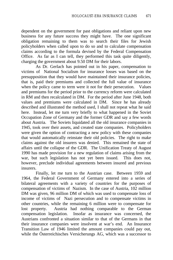dependent on the government for past obligations and reliant upon new business for any future success they might have. The one significant obligation remaining to them was to search their files for Jewish policyholders when called upon to do so and to calculate compensation claims according to the formula devised by the Federal Compensation Office. As far as I can tell, they performed this task quite diligently, charging the government about 9.50 DM for their labors.

As Dr. Gerlach has pointed out in his paper, compensation to victims of National Socialism for insurance losses was based on the presupposition that they would have maintained their insurance policies, that is, paid their premiums and collected the full value of insurance when the policy came to term were it not for their persecution. Values and premiums for the period prior to the currency reform were calculated in RM and then recalculated in DM. For the period after June 1948, both values and premiums were calculated in DM. Since he has already described and illustrated the method used, I shall not repeat what he said here. Instead, let me turn very briefly to what happened in the Soviet Occupation Zone of Germany and the former GDR and say a few words about Austria. The Soviets liquidated all the old insurance companies in 1945, took over their assets, and created state companies. Policyholders were given the option of contracting a new policy with these companies that would automatically reinstate their old policies. The right to make claims against the old insurers was denied. This remained the state of affairs until the collapse of the GDR. The Unification Treaty of August 1990 has made provision for a new regulation of claims arising from the war, but such legislation has not yet been issued. This does not, however, preclude individual agreements between insured and previous insurers.

Finally, let me turn to the Austrian case. Between 1959 and 1964, the Federal Government of Germany entered into a series of bilateral agreements with a variety of countries for the purposes of compensation of victims of Nazism. In the case of Austria, 102 million DM was given, 96 million DM of which was used to compensate loss of income of victims of Nazi persecution and to compensate victims in other countries, while the remaining 6 million were to compensate for lost property. Austria had nothing comparable to the German compensation legislation. Insofar as insurance was concerned, the Austrians confronted a situation similar to that of the Germans in that their insurance companies were insolvent at war's end. An Insurance Transition Law of 1946 limited the amount companies could pay out, while the Österreichisches Versicherungs AG, which was a successor to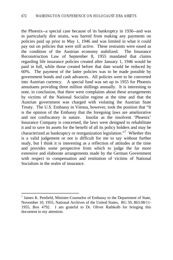the Phoenix--a special case because of its bankruptcy in 1936--and was in particularly dire straits, was barred from making any payments on policies paid up prior to May 1, 1946 and was limited in what it could pay out on policies that were still active. These restraints were eased as the condition of the Austrian economy stabilized. The Insurance Reconstruction Law of September 8, 1955 mandated that claims regarding life insurance policies created after January 1, 1946 would be paid in full, while those created before that date would be reduced by 60%. The payment of the latter policies was to be made possible by government bonds and cash advances. All policies were to be converted into Austrian currency. A special fund was set up in 1955 for Phoenix annuitants providing three million shillings annually. It is interesting to note, in conclusion, that there were complaints about these arrangements by victims of the National Socialist regime at the time and that the Austrian government was charged with violating the Austrian State Treaty. The U.S. Embassy in Vienna, however, took the position that "It is the opinion of the Embassy that the foregoing laws are ameliorative and not confiscatory in nature. Insofar as the insolvent 'Phoenix' Insurance Company is concerned, the laws were designed to rehabilitate it and to save its assets for the benefit of all its policy holders and may be characterized as bankruptcy or reorganization legislation."<sup>1</sup> Whether this is a valid judgement or not is difficult for me to say without further study, but I think it is interesting as a reflection of attitudes at the time and provides some perspective from which to judge the far more extensive and elaborate arrangements made by the German Government with respect to compensation and restitution of victims of National Socialism in the realm of insurance.

<sup>&</sup>lt;sup>1</sup> James K. Penfield, Minister-Counselor of Embassy to the Department of State, November 10, 1955, National Archives of the United States, RG 59, 863.08/11- 1955, Box 4792. I am grateful to Dr. Oliver Rathkolb for bringing this document to my attention.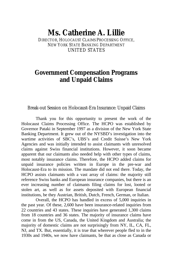## **Ms. Catherine A. Lillie**

DIRECTOR, HOLOCAUST CLAIMS PROCESSING OFFICE NEW YORK STATE BANKING DEPARTMENT UNITED STATES

## **Government Compensation Programs and Unpaid Claims**

Break-out Session on Holocaust-Era Insurance: Unpaid Claims

Thank you for this opportunity to present the work of the Holocaust Claims Processing Office. The HCPO was established by Governor Pataki in September 1997 as a division of the New York State Banking Department. It grew out of the NYSBD's investigation into the wartime activities of SBC's, UBS's and Credit Suisse's New York Agencies and was initially intended to assist claimants with unresolved claims against Swiss financial institutions. However, it soon became apparent that our claimants also needed help with other types of claims, most notably insurance claims. Therefore, the HCPO added claims for unpaid insurance policies written in Europe in the pre-war and Holocaust-Era to its mission. The mandate did not end there. Today, the HCPO assists claimants with a vast array of claims: the majority still reference Swiss banks and European insurance companies, but there is an ever increasing number of claimants filing claims for lost, looted or stolen art, as well as for assets deposited with European financial institutions, be they Austrian, British, Dutch, French, German, or Italian.

Overall, the HCPO has handled in excess of 5,000 inquiries in the past year. Of these, 2,600 have been insurance-related inquiries from 22 countries and 43 states. These inquiries have generated 1,300 claims from 18 countries and 36 states. The majority of insurance claims have come in from the US, Canada, the United Kingdom and Australia; the majority of domestic claims are not surprisingly from NY, IL, CA, FL, NJ, and TX. But, essentially, it is true that wherever people fled to in the 1930s and 1940s, we now have claimants, be that as close as Canada or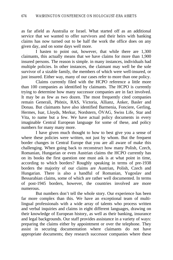as far afield as Australia or Israel. What started off as an additional service that we wanted to offer survivors and their heirs with banking claims has now turned out to be half the work the office does on any given day, and on some days well more.

I hasten to point out, however, that while there are 1,300 claimants, this actually means that we have claims for more than 1,900 insured persons. The reason is simple. in many instances, individuals had multiple policies. In other instances, the claimant may well be the sole survivor of a sizable family, the members of which were well-insured, or just insured. Either way, many of our cases refer to more than one policy.

Claims currently filed with the HCPO reference a little more than 100 companies as identified by claimants. The HCPO is currently trying to determine how many successor companies are in fact involved. It may be as few as two dozen. The most frequently cited companies remain Generali, Phönix, RAS, Victoria, Allianz, Anker, Basler and Donau. But claimants have also identified Barmenia, Fonciere, Gerling, Hermes, Isar, Lloyds, Merkur, Nordstern, ÖVAG, Swiss Life, Star and Vita, to name but a few. We have actual policy documents in every imaginable Central European language for some of these, and policy numbers for many many more.

I have given much thought to how to best give you a sense of where these policies were written, not just by whom. But the frequent border changes in Central Europe that you are all aware of make this challenging. When going back to reconstruct how many Polish, Czech, Romanian, Hungarian or even Austrian claims the HCPO currently has on its books the first question one must ask is at what point in time, according to which borders? Roughly speaking in terms of pre-1938 borders the majority of our claims are Austrian, Polish, Czech and Hungarian. There is also a handful of Romanian, Yugoslav and Bessarabian claims, some of which are rather well documented. In terms of post-1945 borders, however, the countries involved are more numerous.

But numbers don't tell the whole story. Our experience has been far more complex than this. We have an exceptional team of multilingual professionals with a wide array of talents who process written and verbal inquiries and claims in eight different languages, drawing on their knowledge of European history, as well as their banking, insurance and legal backgrounds. Our staff provides assistance in a variety of ways: preparing the claims either by appointment or over the telephone. They assist in securing documentation where claimants do not have appropriate documents; they research successor companies where these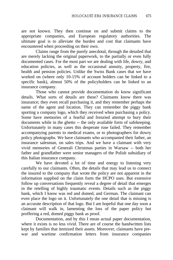are not known. They then continue on and submit claims to the appropriate companies, and European regulatory authorities. The ultimate goal is to alleviate the burden and cost that claimants have encountered when proceeding on their own.

Claims range from the purely anecdotal, through the detailed that are merely lacking the original paperwork, to the partially or even fully documented cases. For the most part we are dealing with life, dowry, and education policies, as well as the occasional annuity, property, fire, health and pension policies. Unlike the Swiss Bank cases that we have worked on (where only 10-15% of account holders can be linked to a specific bank), almost 50% of the policyholders can be linked to an insurance company.

Those who cannot provide documentation do know significant details. What sorts of details are these? Claimants know there was insurance; they even recall purchasing it, and they remember perhaps the name of the agent and location. They can remember the piggy bank sporting a company logo, which they received when purchasing a policy. Some have memories of a fearful and frenzied attempt to bury their documents while in the ghetto -- the only available form of safekeeping. Unfortunately in many cases this desperate ruse failed. They remember accompanying parents to medical exams, or to photographers for dowry policy photographs. We have claimants who accompanied their father, an insurance salesman, on sales trips. And we have a claimant with very vivid memories of Generali Christmas parties in Warsaw -- both her father and grandfather were senior managers of the Polish subsidiary of this Italian insurance company.

We have devoted a lot of time and energy to listening very carefully to our claimants. Often, the details that may lead us to connect the insured to the company that wrote the policy are not apparent in the information supplied on the claim form the HCPO uses. But extensive follow up conversations frequently reveal a degree of detail that emerges in the retelling of highly traumatic events. Details such as the piggy bank, which I know was red and domed, and German. The claimant can even place the logo on it. Unfortunately the one detail that is missing is an accurate description of that logo. But I am hopeful that one day soon a claimant will walk in, lamenting the loss of the paper policy but proffering a red, domed piggy bank as proof.

Documentation, and by this I mean actual paper documentation, where it exists is no less vivid. There are of course the handwritten lists kept by families that itemized their assets. Moreover, claimants have prewar and wartime confirmation letters from insurance companies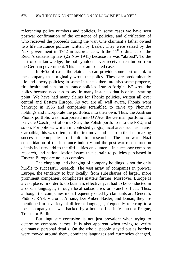referencing policy numbers and policies. In some cases we have seen postwar confirmation of the existence of policies, and clarification of who received the proceeds during the war. One claimant's father owned two life insurance policies written by Basler. They were seized by the Nazi government in 1942 in accordance with the  $11<sup>th</sup>$  ordinance of the Reich's citizenship law (25 Nov 1941) because he was "abroad". To the best of our knowledge, the policyholder never received restitution from the German government. This is not an isolated case.

In 46% of cases the claimants can provide some sort of link to the company that originally wrote the policy. These are predominantly life and dowry policies; in some instances there are also some property, fire, health and pension insurance policies. I stress "originally" wrote the policy because needless to say, in many instances that is only a starting point. We have had many claims for Phönix policies, written all over central and Eastern Europe. As you are all well aware, Phönix went bankrupt in 1936 and companies scrambled to carve up Phönix's holdings and incorporate the portfolios into their own. Thus, the Austrian Phönix portfolio was incorporated into OVAG, the German portfolio into Isar, the Czech portfolio into Star, the Polish portfolio into the PZU, and so on. For policies written in contested geographical areas such as Trans-Carpathia, this was often just the first move and far from the last, making successor companies difficult to research. The pre-war Nazi consolidation of the insurance industry and the post-war reconstruction of this industry add to the difficulties encountered in successor company research, and nationalization issues that pertain to policies purchased in Eastern Europe are no less complex.

The chopping and changing of company holdings is not the only hurdle to successful research. The vast array of companies in pre-war Europe, the tendency to buy locally, from subsidiaries of larger, more prominent companies, complicates matters further. Moreover, Europe is a vast place. In order to do business effectively, it had to be conducted in a dozen languages, through local subsidiaries or branch offices. Thus, although the companies most frequently cited by claimants are Generali, Phönix, RAS, Victoria, Allianz, Der Anker, Basler, and Donau, they are mentioned in a variety of different languages, frequently referring to a local company that was backed by a home office in Vienna or Prague, Trieste or Berlin.

But linguistic confusion is not just prevalent when trying to determine company names. It is also apparent when trying to verify claimants' personal details. On the whole, people stayed put as borders were moved around them, dominant languages and currencies changed,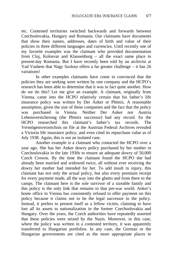etc. Contested territories switched backwards and forwards between Czechoslovakia, Hungary and Romania. Our claimants have documents that show their names, addresses, dates of birth and value of their policies in three different languages and currencies. Until recently one of my favorite examples was the claimant who provided documentation from Cluj, Kolosvar and Klausenburg – all the exact same place in present-day Romania. But I have recently been told by an archivist at Yad Vashem that Nagy Szolosz offers a far greater challenge – it has 26 variations!

In other examples claimants have come in convinced that the policies they are seeking were written by one company and the HCPO's research has been able to determine that it was in fact quite another. How do we do this? Let me give an example. A claimant, originally from Vienna, came into the HCPO relatively certain that his father's life insurance policy was written by Der Anker or Phönix. A reasonable assumption, given the size of these companies and the fact that the policy was purchased in Vienna. Neither Der Anker nor Austria Lebensversicherung (the Phönix successor) had any record. So the HCPO researched this claimant's father's tax records. The Vermögensverzeichnis on file at the Austrian Federal Archives revealed a Victoria life insurance policy, and even cited its repurchase value as of July 1938. Again, this is not an isolated case.

Another example is a claimant who contacted the HCPO over a year ago. She has her Anker dowry policy purchased by her mother in Czechoslovakia in the late 1930s to ensure an adequate dowry of 50,000 Czech Crowns. By the time the claimant found the HCPO she had already been married and widowed twice, all without ever receiving the dowry her mother had intended for her. To add insult to injury, this claimant has not only the actual policy, but also every premium receipt for every payment made, all the way into the ghetto and from there to the camps. The claimant here is the sole survivor of a sizeable family and this policy is the only link that remains to that pre-war world. Anker's home office in Vienna has consistently refused to offer payment on this policy because it claims not to be the legal successor to the policy. Instead, it prefers to present itself as a fellow victim, claiming to have lost all its assets to nationalization in the former Czechoslovakia and Hungary. Over the years, the Czech authorities have repeatedly asserted that these policies were seized by the Nazis. Moreover, in this case, where the policy was written in a contested territory, it was apparently transferred to Hungarian portfolios. In any case, the German or the Hungarian governments are cited as the more appropriate places to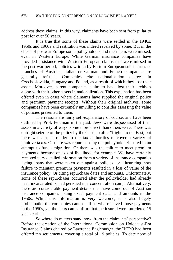address these claims. In this way, claimants have been sent from pillar to post for over 50 years.

It is true that some of these claims were settled in the 1940s, 1950s and 1960s and restitution was indeed received by some. But in the chaos of postwar Europe some policyholders and their heirs were missed, even in Western Europe. While German insurance companies have provided assistance with Western European claims that were missed in the post-war period, policies written by Eastern European subsidiaries or branches of Austrian, Italian or German and French companies are generally refused. Companies cite nationalization decrees in Czechoslovakia, Hungary and Poland, as a result of which they lost their assets. Moreover, parent companies claim to have lost their archives along with their other assets in nationalization. This explanation has been offered even in cases where claimants have supplied the original policy and premium payment receipts. Without their original archives, some companies have been extremely unwilling to consider assessing the value of policies presented to them.

The reasons are fairly self-explanatory of course, and have been outlined by Prof. Feldman in the past. Jews were dispossessed of their assets in a variety of ways, some more direct than others were. There was outright seizure of the policy by the Gestapo after "flight" to the East, but there was also surrender to the tax authorities to cover a variety of punitive taxes. Or there was repurchase by the policyholder/insured in an attempt to fund emigration. Or there was the failure to meet premium payments, because of loss of livelihood for example. We have certainly received very detailed information from a variety of insurance companies listing loans that were taken out against policies, or illustrating how failure to maintain premium payments resulted in a loss of value of the insurance policy. Or citing repurchase dates and amounts. Unfortunately, some of these repurchases occurred after the policyholder had already been incarcerated or had perished in a concentration camp. Alternatively, there are considerable payment details that have come out of Austrian insurance companies listing exact payment dates and amounts in the 1950s. While this information is very welcome, it is also hugely problematic: the companies cannot tell us who received those payments in the 1950s, yet the heirs can confirm that the insured were murdered 15 years earlier.

So where do matters stand now, from the claimants' perspective? Before the creation of the International Commission on Holocaust-Era Insurance Claims chaired by Lawrence Eagleburger, the HCPO had been offered ten settlements, covering a total of 19 policies. To date none of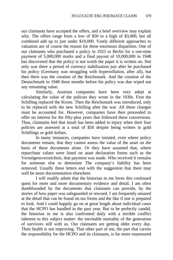our claimants have accepted the offers, and a brief overview may explain why. The offers range from a low of \$50 to a high of \$3,000, but all combined add up to just under \$10,000. Vastly different approaches to valuation are of course the reason for these enormous disparities. One of our claimants who purchased a policy in 1923 in Berlin for a one-time payment of 5,000,000 marks and a final payout of 10,000,000 in 1948 has discovered that the policy is not worth the paper it is written on. Not only was there a period of currency stabilization just after he purchased his policy (Germany was struggling with hyperinflation, after all), but then there was the creation of the Reichsmark. And the creation of the Deutschmark in 1948 three months before his policy was due wiped out any remaining value.

Similarly, Austrian companies have been very adept at calculating the value of the policies they wrote in the 1930s. First the Schilling replaced the Krone. Then the Reichsmark was introduced, only to be replaced with the new Schilling after the war. All these changes must be accounted for. However, companies have then proceeded to offer no interest for the fifty-plus years that followed these conversions. Thus, claimants feel that insult has been added to injury when their four policies are assessed at a total of \$50 despite being written in gold Schillings or gold dollars.

In many instances, companies have insisted, even where policy documents remain, that they cannot assess the value of the asset on the basis of these documents alone. Or they have assumed that, where repurchase values were listed on asset declaration forms such as the Vermögensverzeichnis, that payment was made. Who received it remains for someone else to determine The company's liability has been removed. Usually these letters end with the suggestion that there may well be more documentation elsewhere.

I will readily admit that the historian in me loves this continued quest for more and more documentary evidence and detail. I am often dumbfounded by the documents that claimants can provide, by the stories of how paper was safeguarded or rescued. I am frequently amazed at the detail that can be found on tax forms and the like if one is prepared to look. And I could happily go on at great length about individual cases that the HCPO has handled in the past year. But to be perfectly candid, the historian in me is also confronted daily with a terrible conflict inherent to this subject matter: the inevitable mortality of the generation of survivors still with us. Our claimants are getting older every day. Their health is not improving. That other part of me, the part that carries the responsibility for the HCPO and its claimants, is far more enamoured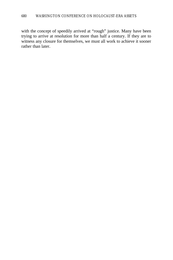with the concept of speedily arrived at "rough" justice. Many have been trying to arrive at resolution for more than half a century. If they are to witness any closure for themselves, we must all work to achieve it sooner rather than later.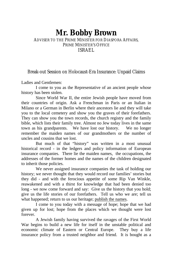### **Mr. Bobby Brown** ADVISER TO THE PRIME MINISTER FOR DIASPORA AFFAIRS, PRIME MINISTER'S OFFICE ISRAEL

#### Break-out Session on Holocaust-Era Insurance: Unpaid Claims

Ladies and Gentlemen:

I come to you as the Representative of an ancient people whose history has been stolen.

Since World War II, the entire Jewish people have moved from their countries of origin. Ask a Frenchman in Paris or an Italian in Milano or a German in Berlin where their ancestors lie and they will take you to the local cemetery and show you the graves of their forefathers. They can show you the town records, the church registry and the family bible, which lists their family tree. Almost no Jew today lives in the same town as his grandparents. We have lost our history. We no longer remember the maiden names of our grandmothers or the number of uncles and cousins that we lost.

But much of that "history" was written in a most unusual historical record - in the ledgers and policy information of European insurance companies. There lie the maiden names, the occupations, the addresses of the former homes and the names of the children designated to inherit those policies.

We never assigned insurance companies the task of holding our history; we never thought that they would record our families' stories but they did - and with the ferocious appetite of some Rip Van Winkle, reawakened and with a thirst for knowledge that had been denied too long - we now come forward and say: Give us the history that you hold; give us the life stories of our forefathers. Tell us who we are; tell us what happened; return to us our heritage; publish the names.

I come to you today with a message of hope; hope that we had given up for lost; hope from the places which we thought were lost forever.

A Jewish family having survived the ravages of the First World War begins to build a new life for itself in the unstable political and economic climate of Eastern or Central Europe. They buy a life insurance policy from a trusted neighbor and friend. It is bought as a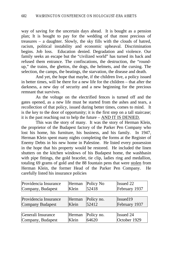way of saving for the uncertain days ahead. It is bought as a pension plan; It is bought to pay for the wedding of that most precious of treasures – a daughter. Slowly, the sky fills with the clouds of hatred, racism, political instability and economic upheaval. Discrimination begins. Job loss. Education denied. Degradation and violence. Our family seeks an escape but the "civilized world" has turned its back and refused them entrance. The confiscations, the destruction, the "roundup," the trains, the ghettos, the dogs, the helmets, and the cursing. The selection, the camps, the beatings, the starvation, the disease and death.

And yet, the hope that maybe, if the children live, a policy issued in better times, will be there for a new life for the children – that after the darkness, a new day of security and a new beginning for the precious remnant that survives.

As the voltage on the electrified fences is turned off and the gates opened, as a new life must be started from the ashes and tears, a recollection of that policy, issued during better times, comes to mind. It is the key to the door of opportunity; it is the first step on a tall staircase; it is the past reaching out to help the future – AND IT IS DENIED.

This was the story of many. It was the story of Herman Klein, the proprietor of the Budapest factory of the Parker Pen Company who lost his home, his furniture, his business, and his family. In 1947, Herman Klein spent many nights completing the forms at the Register of Enemy Debts in his new home in Palestine. He listed every possession in the hope that his property would be restored. He included the linen shutters on the kitchen windows of his Budapest home, the washbasin with pipe fittings, the gold bracelet, tie clip, ladies ring and medallion, totaling 69 grams of gold and the 88 fountain pens that were stolen from Herman Klein, the former Head of the Parker Pen Company. He carefully listed his insurance policies

| Providencia Insurance   | Herman | Policy No  | Issued 22        |
|-------------------------|--------|------------|------------------|
| Company, Budapest       | Klein  | 52418      | February 1937    |
|                         |        |            |                  |
| Providencia Insurance   | Herman | Policy no. | Issued19         |
| <b>Company Budapest</b> | Klein  | 52412      | February 1937    |
|                         |        |            |                  |
| Generali Insurance      | Herman | Policy no. | <b>Issued 24</b> |
| Company, Budapest       | Klein  | 64620      | October 1929     |